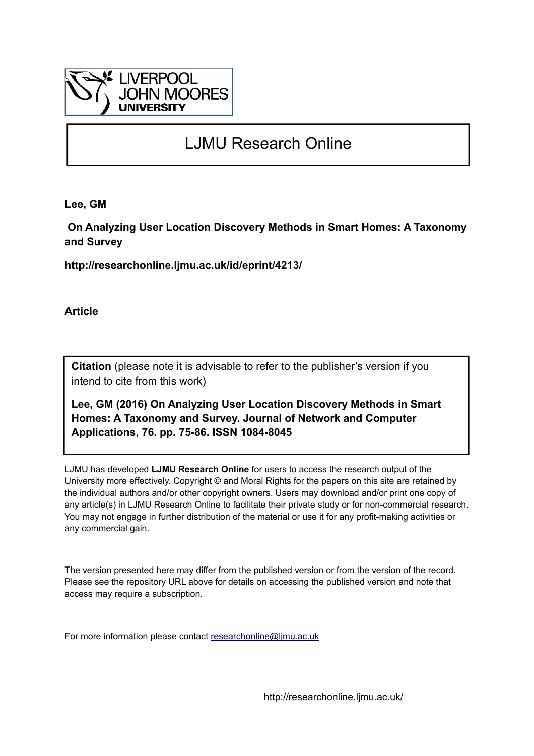

# LJMU Research Online

**Lee, GM**

 **On Analyzing User Location Discovery Methods in Smart Homes: A Taxonomy and Survey**

**http://researchonline.ljmu.ac.uk/id/eprint/4213/**

**Article**

**Citation** (please note it is advisable to refer to the publisher's version if you intend to cite from this work)

**Lee, GM (2016) On Analyzing User Location Discovery Methods in Smart Homes: A Taxonomy and Survey. Journal of Network and Computer Applications, 76. pp. 75-86. ISSN 1084-8045** 

LJMU has developed **[LJMU Research Online](http://researchonline.ljmu.ac.uk/)** for users to access the research output of the University more effectively. Copyright © and Moral Rights for the papers on this site are retained by the individual authors and/or other copyright owners. Users may download and/or print one copy of any article(s) in LJMU Research Online to facilitate their private study or for non-commercial research. You may not engage in further distribution of the material or use it for any profit-making activities or any commercial gain.

The version presented here may differ from the published version or from the version of the record. Please see the repository URL above for details on accessing the published version and note that access may require a subscription.

For more information please contact [researchonline@ljmu.ac.uk](mailto:researchonline@ljmu.ac.uk)

http://researchonline.ljmu.ac.uk/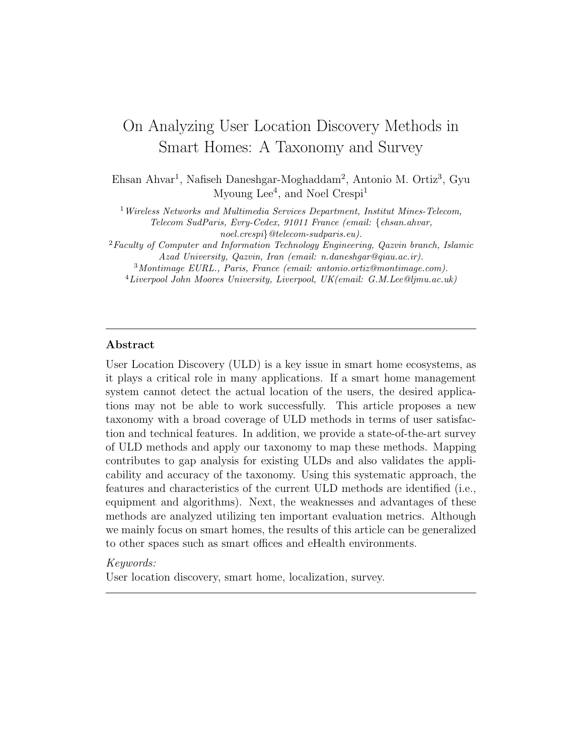## On Analyzing User Location Discovery Methods in Smart Homes: A Taxonomy and Survey

Ehsan Ahvar<sup>1</sup>, Nafiseh Daneshgar-Moghaddam<sup>2</sup>, Antonio M. Ortiz<sup>3</sup>, Gyu Myoung Lee<sup>4</sup>, and Noel Crespi<sup>1</sup>

<sup>1</sup>Wireless Networks and Multimedia Services Department, Institut Mines-Telecom, Telecom SudParis, Evry-Cedex, 91011 France (email: {ehsan.ahvar,

noel.crespi}@telecom-sudparis.eu).

 ${}^{2}$ Faculty of Computer and Information Technology Engineering, Qazvin branch, Islamic Azad University, Qazvin, Iran (email: n.daneshgar@qiau.ac.ir).

<sup>3</sup>Montimage EURL., Paris, France (email: antonio.ortiz@montimage.com).

 $^{4}$ Liverpool John Moores University, Liverpool, UK(email: G.M.Lee@ljmu.ac.uk)

#### Abstract

User Location Discovery (ULD) is a key issue in smart home ecosystems, as it plays a critical role in many applications. If a smart home management system cannot detect the actual location of the users, the desired applications may not be able to work successfully. This article proposes a new taxonomy with a broad coverage of ULD methods in terms of user satisfaction and technical features. In addition, we provide a state-of-the-art survey of ULD methods and apply our taxonomy to map these methods. Mapping contributes to gap analysis for existing ULDs and also validates the applicability and accuracy of the taxonomy. Using this systematic approach, the features and characteristics of the current ULD methods are identified (i.e., equipment and algorithms). Next, the weaknesses and advantages of these methods are analyzed utilizing ten important evaluation metrics. Although we mainly focus on smart homes, the results of this article can be generalized to other spaces such as smart offices and eHealth environments.

#### Keywords:

User location discovery, smart home, localization, survey.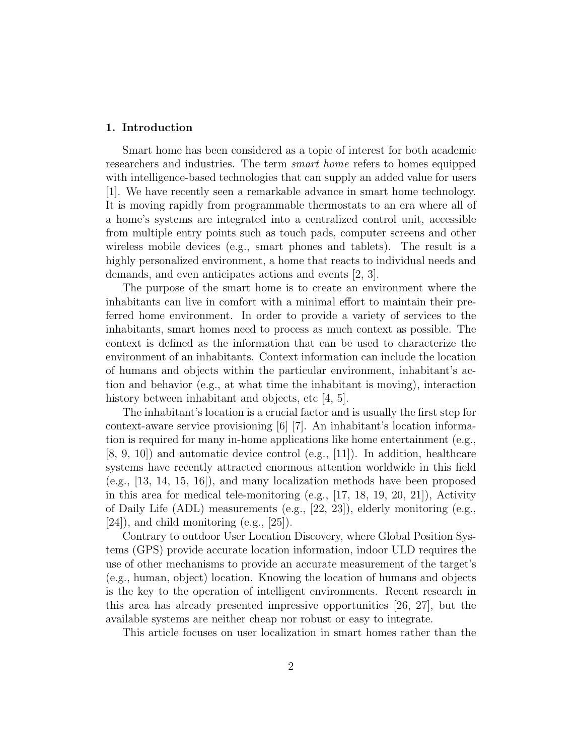#### 1. Introduction

Smart home has been considered as a topic of interest for both academic researchers and industries. The term *smart home* refers to homes equipped with intelligence-based technologies that can supply an added value for users [1]. We have recently seen a remarkable advance in smart home technology. It is moving rapidly from programmable thermostats to an era where all of a home's systems are integrated into a centralized control unit, accessible from multiple entry points such as touch pads, computer screens and other wireless mobile devices (e.g., smart phones and tablets). The result is a highly personalized environment, a home that reacts to individual needs and demands, and even anticipates actions and events [2, 3].

The purpose of the smart home is to create an environment where the inhabitants can live in comfort with a minimal effort to maintain their preferred home environment. In order to provide a variety of services to the inhabitants, smart homes need to process as much context as possible. The context is defined as the information that can be used to characterize the environment of an inhabitants. Context information can include the location of humans and objects within the particular environment, inhabitant's action and behavior (e.g., at what time the inhabitant is moving), interaction history between inhabitant and objects, etc [4, 5].

The inhabitant's location is a crucial factor and is usually the first step for context-aware service provisioning [6] [7]. An inhabitant's location information is required for many in-home applications like home entertainment (e.g., [8, 9, 10]) and automatic device control (e.g., [11]). In addition, healthcare systems have recently attracted enormous attention worldwide in this field (e.g., [13, 14, 15, 16]), and many localization methods have been proposed in this area for medical tele-monitoring  $(e.g., [17, 18, 19, 20, 21])$ , Activity of Daily Life (ADL) measurements (e.g., [22, 23]), elderly monitoring (e.g.,  $[24]$ , and child monitoring (e.g.,  $[25]$ ).

Contrary to outdoor User Location Discovery, where Global Position Systems (GPS) provide accurate location information, indoor ULD requires the use of other mechanisms to provide an accurate measurement of the target's (e.g., human, object) location. Knowing the location of humans and objects is the key to the operation of intelligent environments. Recent research in this area has already presented impressive opportunities [26, 27], but the available systems are neither cheap nor robust or easy to integrate.

This article focuses on user localization in smart homes rather than the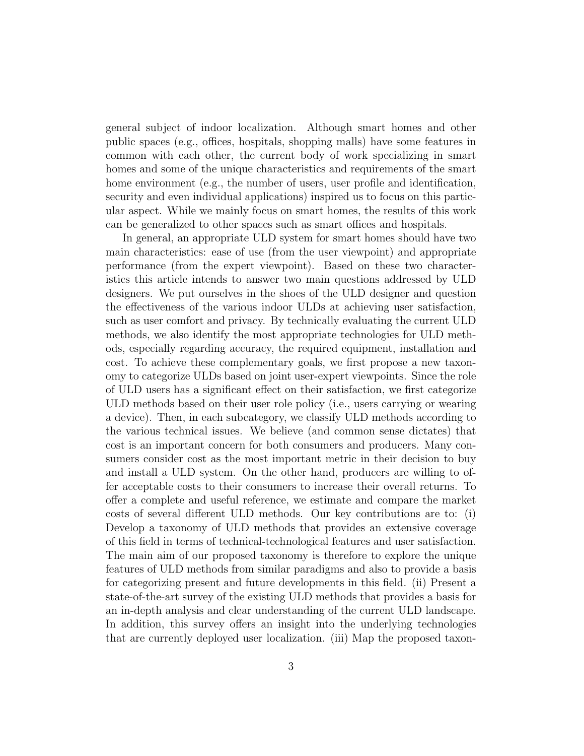general subject of indoor localization. Although smart homes and other public spaces (e.g., offices, hospitals, shopping malls) have some features in common with each other, the current body of work specializing in smart homes and some of the unique characteristics and requirements of the smart home environment (e.g., the number of users, user profile and identification, security and even individual applications) inspired us to focus on this particular aspect. While we mainly focus on smart homes, the results of this work can be generalized to other spaces such as smart offices and hospitals.

In general, an appropriate ULD system for smart homes should have two main characteristics: ease of use (from the user viewpoint) and appropriate performance (from the expert viewpoint). Based on these two characteristics this article intends to answer two main questions addressed by ULD designers. We put ourselves in the shoes of the ULD designer and question the effectiveness of the various indoor ULDs at achieving user satisfaction, such as user comfort and privacy. By technically evaluating the current ULD methods, we also identify the most appropriate technologies for ULD methods, especially regarding accuracy, the required equipment, installation and cost. To achieve these complementary goals, we first propose a new taxonomy to categorize ULDs based on joint user-expert viewpoints. Since the role of ULD users has a significant effect on their satisfaction, we first categorize ULD methods based on their user role policy (i.e., users carrying or wearing a device). Then, in each subcategory, we classify ULD methods according to the various technical issues. We believe (and common sense dictates) that cost is an important concern for both consumers and producers. Many consumers consider cost as the most important metric in their decision to buy and install a ULD system. On the other hand, producers are willing to offer acceptable costs to their consumers to increase their overall returns. To offer a complete and useful reference, we estimate and compare the market costs of several different ULD methods. Our key contributions are to: (i) Develop a taxonomy of ULD methods that provides an extensive coverage of this field in terms of technical-technological features and user satisfaction. The main aim of our proposed taxonomy is therefore to explore the unique features of ULD methods from similar paradigms and also to provide a basis for categorizing present and future developments in this field. (ii) Present a state-of-the-art survey of the existing ULD methods that provides a basis for an in-depth analysis and clear understanding of the current ULD landscape. In addition, this survey offers an insight into the underlying technologies that are currently deployed user localization. (iii) Map the proposed taxon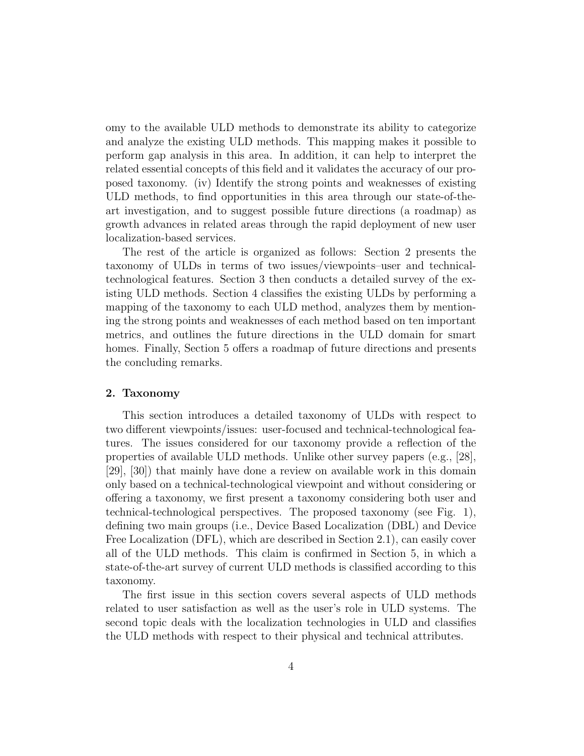omy to the available ULD methods to demonstrate its ability to categorize and analyze the existing ULD methods. This mapping makes it possible to perform gap analysis in this area. In addition, it can help to interpret the related essential concepts of this field and it validates the accuracy of our proposed taxonomy. (iv) Identify the strong points and weaknesses of existing ULD methods, to find opportunities in this area through our state-of-theart investigation, and to suggest possible future directions (a roadmap) as growth advances in related areas through the rapid deployment of new user localization-based services.

The rest of the article is organized as follows: Section 2 presents the taxonomy of ULDs in terms of two issues/viewpoints–user and technicaltechnological features. Section 3 then conducts a detailed survey of the existing ULD methods. Section 4 classifies the existing ULDs by performing a mapping of the taxonomy to each ULD method, analyzes them by mentioning the strong points and weaknesses of each method based on ten important metrics, and outlines the future directions in the ULD domain for smart homes. Finally, Section 5 offers a roadmap of future directions and presents the concluding remarks.

#### 2. Taxonomy

This section introduces a detailed taxonomy of ULDs with respect to two different viewpoints/issues: user-focused and technical-technological features. The issues considered for our taxonomy provide a reflection of the properties of available ULD methods. Unlike other survey papers (e.g., [28], [29], [30]) that mainly have done a review on available work in this domain only based on a technical-technological viewpoint and without considering or offering a taxonomy, we first present a taxonomy considering both user and technical-technological perspectives. The proposed taxonomy (see Fig. 1), defining two main groups (i.e., Device Based Localization (DBL) and Device Free Localization (DFL), which are described in Section 2.1), can easily cover all of the ULD methods. This claim is confirmed in Section 5, in which a state-of-the-art survey of current ULD methods is classified according to this taxonomy.

The first issue in this section covers several aspects of ULD methods related to user satisfaction as well as the user's role in ULD systems. The second topic deals with the localization technologies in ULD and classifies the ULD methods with respect to their physical and technical attributes.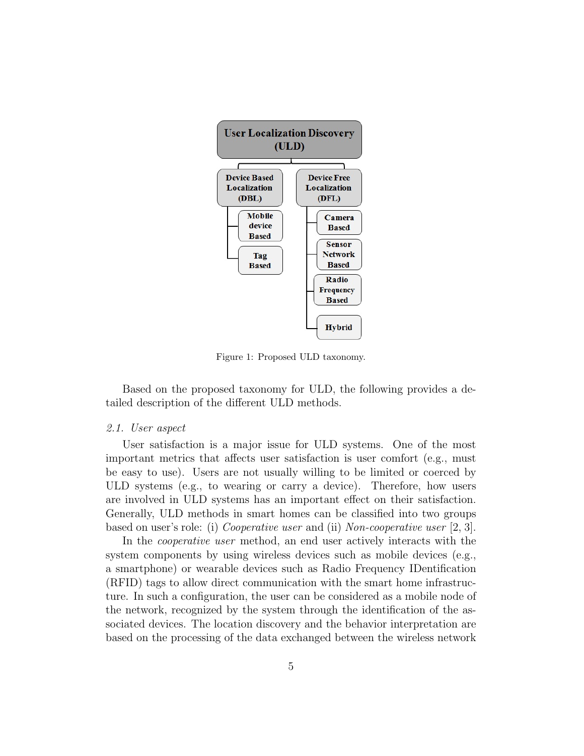

Figure 1: Proposed ULD taxonomy.

Based on the proposed taxonomy for ULD, the following provides a detailed description of the different ULD methods.

#### 2.1. User aspect

User satisfaction is a major issue for ULD systems. One of the most important metrics that affects user satisfaction is user comfort (e.g., must be easy to use). Users are not usually willing to be limited or coerced by ULD systems (e.g., to wearing or carry a device). Therefore, how users are involved in ULD systems has an important effect on their satisfaction. Generally, ULD methods in smart homes can be classified into two groups based on user's role: (i) Cooperative user and (ii) Non-cooperative user [2, 3].

In the cooperative user method, an end user actively interacts with the system components by using wireless devices such as mobile devices (e.g., a smartphone) or wearable devices such as Radio Frequency IDentification (RFID) tags to allow direct communication with the smart home infrastructure. In such a configuration, the user can be considered as a mobile node of the network, recognized by the system through the identification of the associated devices. The location discovery and the behavior interpretation are based on the processing of the data exchanged between the wireless network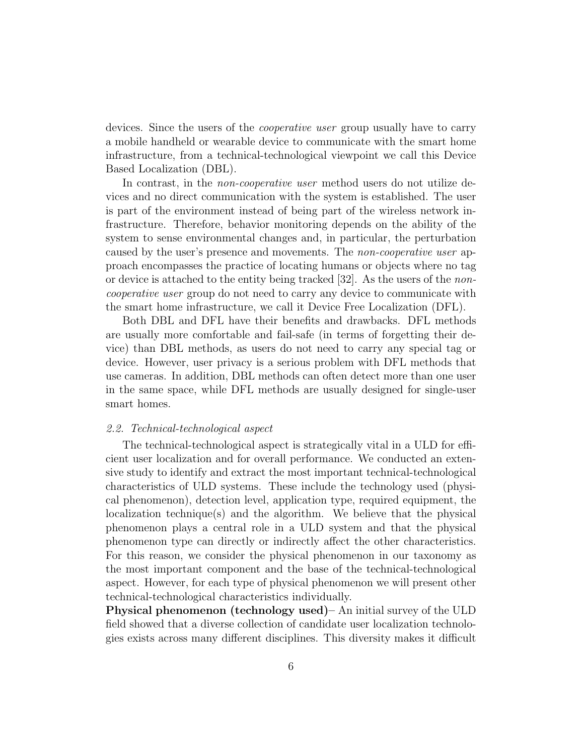devices. Since the users of the *cooperative user* group usually have to carry a mobile handheld or wearable device to communicate with the smart home infrastructure, from a technical-technological viewpoint we call this Device Based Localization (DBL).

In contrast, in the *non-cooperative user* method users do not utilize devices and no direct communication with the system is established. The user is part of the environment instead of being part of the wireless network infrastructure. Therefore, behavior monitoring depends on the ability of the system to sense environmental changes and, in particular, the perturbation caused by the user's presence and movements. The non-cooperative user approach encompasses the practice of locating humans or objects where no tag or device is attached to the entity being tracked [32]. As the users of the noncooperative user group do not need to carry any device to communicate with the smart home infrastructure, we call it Device Free Localization (DFL).

Both DBL and DFL have their benefits and drawbacks. DFL methods are usually more comfortable and fail-safe (in terms of forgetting their device) than DBL methods, as users do not need to carry any special tag or device. However, user privacy is a serious problem with DFL methods that use cameras. In addition, DBL methods can often detect more than one user in the same space, while DFL methods are usually designed for single-user smart homes.

#### 2.2. Technical-technological aspect

The technical-technological aspect is strategically vital in a ULD for efficient user localization and for overall performance. We conducted an extensive study to identify and extract the most important technical-technological characteristics of ULD systems. These include the technology used (physical phenomenon), detection level, application type, required equipment, the localization technique(s) and the algorithm. We believe that the physical phenomenon plays a central role in a ULD system and that the physical phenomenon type can directly or indirectly affect the other characteristics. For this reason, we consider the physical phenomenon in our taxonomy as the most important component and the base of the technical-technological aspect. However, for each type of physical phenomenon we will present other technical-technological characteristics individually.

Physical phenomenon (technology used)– An initial survey of the ULD field showed that a diverse collection of candidate user localization technologies exists across many different disciplines. This diversity makes it difficult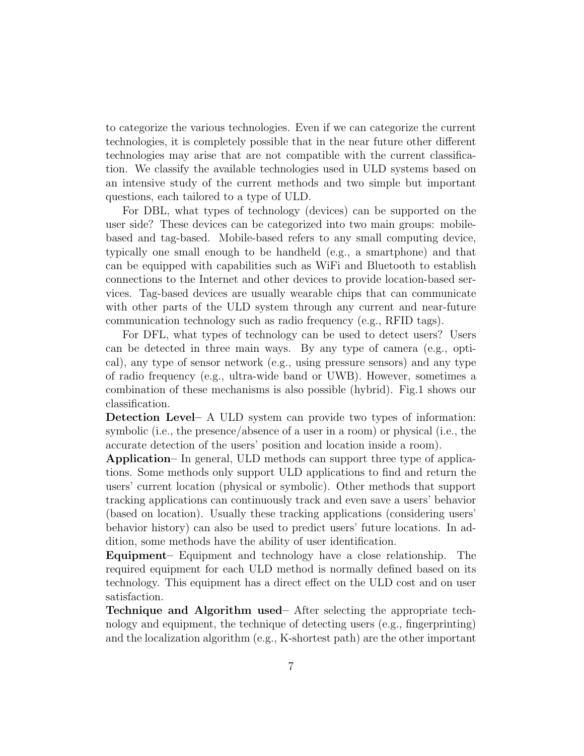to categorize the various technologies. Even if we can categorize the current technologies, it is completely possible that in the near future other different technologies may arise that are not compatible with the current classification. We classify the available technologies used in ULD systems based on an intensive study of the current methods and two simple but important questions, each tailored to a type of ULD.

For DBL, what types of technology (devices) can be supported on the user side? These devices can be categorized into two main groups: mobilebased and tag-based. Mobile-based refers to any small computing device, typically one small enough to be handheld (e.g., a smartphone) and that can be equipped with capabilities such as WiFi and Bluetooth to establish connections to the Internet and other devices to provide location-based services. Tag-based devices are usually wearable chips that can communicate with other parts of the ULD system through any current and near-future communication technology such as radio frequency (e.g., RFID tags).

For DFL, what types of technology can be used to detect users? Users can be detected in three main ways. By any type of camera (e.g., optical), any type of sensor network (e.g., using pressure sensors) and any type of radio frequency (e.g., ultra-wide band or UWB). However, sometimes a combination of these mechanisms is also possible (hybrid). Fig.1 shows our classification.

Detection Level– A ULD system can provide two types of information: symbolic (i.e., the presence/absence of a user in a room) or physical (i.e., the accurate detection of the users' position and location inside a room).

Application– In general, ULD methods can support three type of applications. Some methods only support ULD applications to find and return the users' current location (physical or symbolic). Other methods that support tracking applications can continuously track and even save a users' behavior (based on location). Usually these tracking applications (considering users' behavior history) can also be used to predict users' future locations. In addition, some methods have the ability of user identification.

Equipment– Equipment and technology have a close relationship. The required equipment for each ULD method is normally defined based on its technology. This equipment has a direct effect on the ULD cost and on user satisfaction.

Technique and Algorithm used– After selecting the appropriate technology and equipment, the technique of detecting users (e.g., fingerprinting) and the localization algorithm (e.g., K-shortest path) are the other important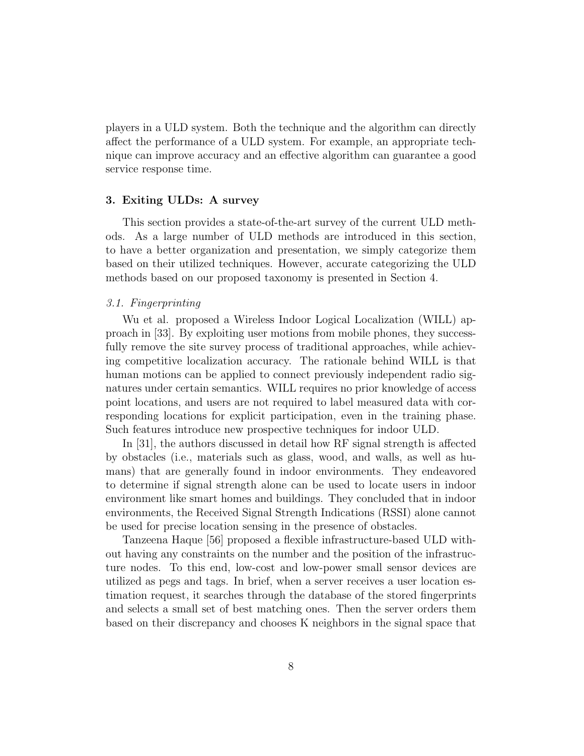players in a ULD system. Both the technique and the algorithm can directly affect the performance of a ULD system. For example, an appropriate technique can improve accuracy and an effective algorithm can guarantee a good service response time.

#### 3. Exiting ULDs: A survey

This section provides a state-of-the-art survey of the current ULD methods. As a large number of ULD methods are introduced in this section, to have a better organization and presentation, we simply categorize them based on their utilized techniques. However, accurate categorizing the ULD methods based on our proposed taxonomy is presented in Section 4.

#### 3.1. Fingerprinting

Wu et al. proposed a Wireless Indoor Logical Localization (WILL) approach in [33]. By exploiting user motions from mobile phones, they successfully remove the site survey process of traditional approaches, while achieving competitive localization accuracy. The rationale behind WILL is that human motions can be applied to connect previously independent radio signatures under certain semantics. WILL requires no prior knowledge of access point locations, and users are not required to label measured data with corresponding locations for explicit participation, even in the training phase. Such features introduce new prospective techniques for indoor ULD.

In [31], the authors discussed in detail how RF signal strength is affected by obstacles (i.e., materials such as glass, wood, and walls, as well as humans) that are generally found in indoor environments. They endeavored to determine if signal strength alone can be used to locate users in indoor environment like smart homes and buildings. They concluded that in indoor environments, the Received Signal Strength Indications (RSSI) alone cannot be used for precise location sensing in the presence of obstacles.

Tanzeena Haque [56] proposed a flexible infrastructure-based ULD without having any constraints on the number and the position of the infrastructure nodes. To this end, low-cost and low-power small sensor devices are utilized as pegs and tags. In brief, when a server receives a user location estimation request, it searches through the database of the stored fingerprints and selects a small set of best matching ones. Then the server orders them based on their discrepancy and chooses K neighbors in the signal space that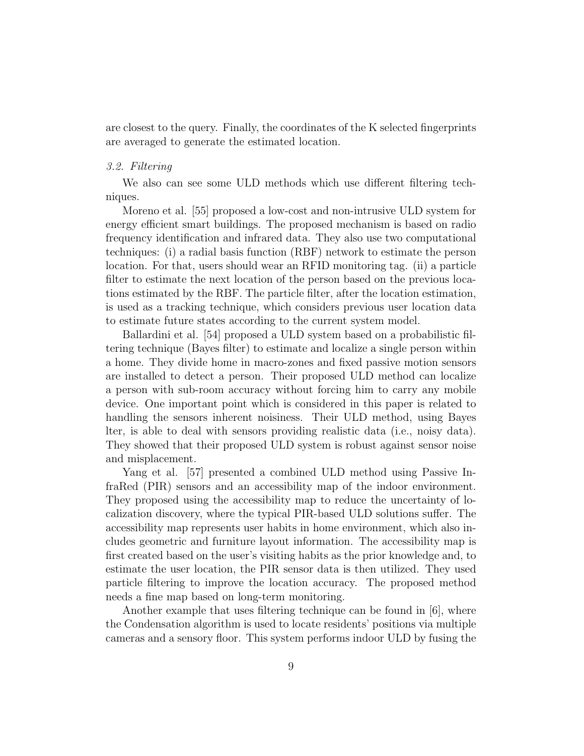are closest to the query. Finally, the coordinates of the K selected fingerprints are averaged to generate the estimated location.

### 3.2. Filtering

We also can see some ULD methods which use different filtering techniques.

Moreno et al. [55] proposed a low-cost and non-intrusive ULD system for energy efficient smart buildings. The proposed mechanism is based on radio frequency identification and infrared data. They also use two computational techniques: (i) a radial basis function (RBF) network to estimate the person location. For that, users should wear an RFID monitoring tag. (ii) a particle filter to estimate the next location of the person based on the previous locations estimated by the RBF. The particle filter, after the location estimation, is used as a tracking technique, which considers previous user location data to estimate future states according to the current system model.

Ballardini et al. [54] proposed a ULD system based on a probabilistic filtering technique (Bayes filter) to estimate and localize a single person within a home. They divide home in macro-zones and fixed passive motion sensors are installed to detect a person. Their proposed ULD method can localize a person with sub-room accuracy without forcing him to carry any mobile device. One important point which is considered in this paper is related to handling the sensors inherent noisiness. Their ULD method, using Bayes lter, is able to deal with sensors providing realistic data (i.e., noisy data). They showed that their proposed ULD system is robust against sensor noise and misplacement.

Yang et al. [57] presented a combined ULD method using Passive InfraRed (PIR) sensors and an accessibility map of the indoor environment. They proposed using the accessibility map to reduce the uncertainty of localization discovery, where the typical PIR-based ULD solutions suffer. The accessibility map represents user habits in home environment, which also includes geometric and furniture layout information. The accessibility map is first created based on the user's visiting habits as the prior knowledge and, to estimate the user location, the PIR sensor data is then utilized. They used particle filtering to improve the location accuracy. The proposed method needs a fine map based on long-term monitoring.

Another example that uses filtering technique can be found in [6], where the Condensation algorithm is used to locate residents' positions via multiple cameras and a sensory floor. This system performs indoor ULD by fusing the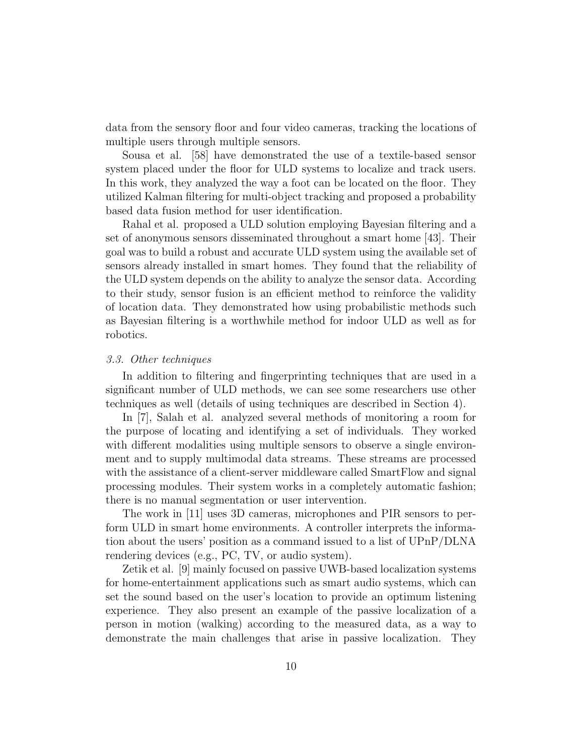data from the sensory floor and four video cameras, tracking the locations of multiple users through multiple sensors.

Sousa et al. [58] have demonstrated the use of a textile-based sensor system placed under the floor for ULD systems to localize and track users. In this work, they analyzed the way a foot can be located on the floor. They utilized Kalman filtering for multi-object tracking and proposed a probability based data fusion method for user identification.

Rahal et al. proposed a ULD solution employing Bayesian filtering and a set of anonymous sensors disseminated throughout a smart home [43]. Their goal was to build a robust and accurate ULD system using the available set of sensors already installed in smart homes. They found that the reliability of the ULD system depends on the ability to analyze the sensor data. According to their study, sensor fusion is an efficient method to reinforce the validity of location data. They demonstrated how using probabilistic methods such as Bayesian filtering is a worthwhile method for indoor ULD as well as for robotics.

#### 3.3. Other techniques

In addition to filtering and fingerprinting techniques that are used in a significant number of ULD methods, we can see some researchers use other techniques as well (details of using techniques are described in Section 4).

In [7], Salah et al. analyzed several methods of monitoring a room for the purpose of locating and identifying a set of individuals. They worked with different modalities using multiple sensors to observe a single environment and to supply multimodal data streams. These streams are processed with the assistance of a client-server middleware called SmartFlow and signal processing modules. Their system works in a completely automatic fashion; there is no manual segmentation or user intervention.

The work in [11] uses 3D cameras, microphones and PIR sensors to perform ULD in smart home environments. A controller interprets the information about the users' position as a command issued to a list of UPnP/DLNA rendering devices (e.g., PC, TV, or audio system).

Zetik et al. [9] mainly focused on passive UWB-based localization systems for home-entertainment applications such as smart audio systems, which can set the sound based on the user's location to provide an optimum listening experience. They also present an example of the passive localization of a person in motion (walking) according to the measured data, as a way to demonstrate the main challenges that arise in passive localization. They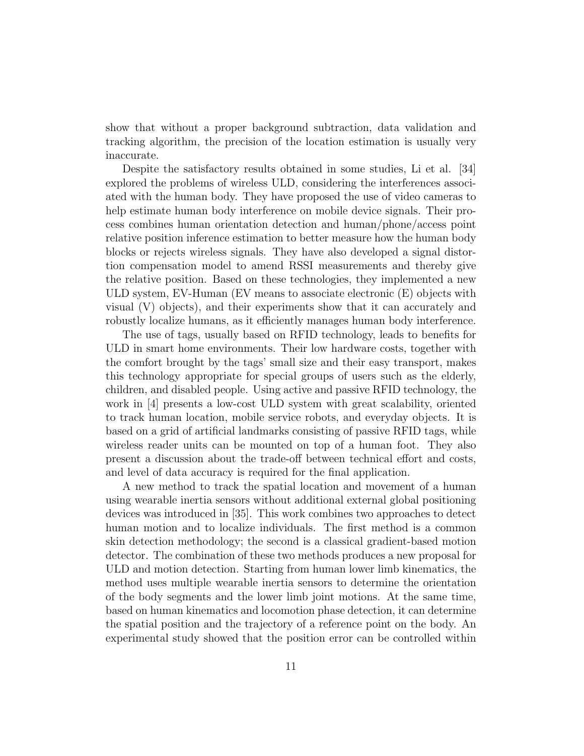show that without a proper background subtraction, data validation and tracking algorithm, the precision of the location estimation is usually very inaccurate.

Despite the satisfactory results obtained in some studies, Li et al. [34] explored the problems of wireless ULD, considering the interferences associated with the human body. They have proposed the use of video cameras to help estimate human body interference on mobile device signals. Their process combines human orientation detection and human/phone/access point relative position inference estimation to better measure how the human body blocks or rejects wireless signals. They have also developed a signal distortion compensation model to amend RSSI measurements and thereby give the relative position. Based on these technologies, they implemented a new ULD system, EV-Human (EV means to associate electronic (E) objects with visual (V) objects), and their experiments show that it can accurately and robustly localize humans, as it efficiently manages human body interference.

The use of tags, usually based on RFID technology, leads to benefits for ULD in smart home environments. Their low hardware costs, together with the comfort brought by the tags' small size and their easy transport, makes this technology appropriate for special groups of users such as the elderly, children, and disabled people. Using active and passive RFID technology, the work in [4] presents a low-cost ULD system with great scalability, oriented to track human location, mobile service robots, and everyday objects. It is based on a grid of artificial landmarks consisting of passive RFID tags, while wireless reader units can be mounted on top of a human foot. They also present a discussion about the trade-off between technical effort and costs, and level of data accuracy is required for the final application.

A new method to track the spatial location and movement of a human using wearable inertia sensors without additional external global positioning devices was introduced in [35]. This work combines two approaches to detect human motion and to localize individuals. The first method is a common skin detection methodology; the second is a classical gradient-based motion detector. The combination of these two methods produces a new proposal for ULD and motion detection. Starting from human lower limb kinematics, the method uses multiple wearable inertia sensors to determine the orientation of the body segments and the lower limb joint motions. At the same time, based on human kinematics and locomotion phase detection, it can determine the spatial position and the trajectory of a reference point on the body. An experimental study showed that the position error can be controlled within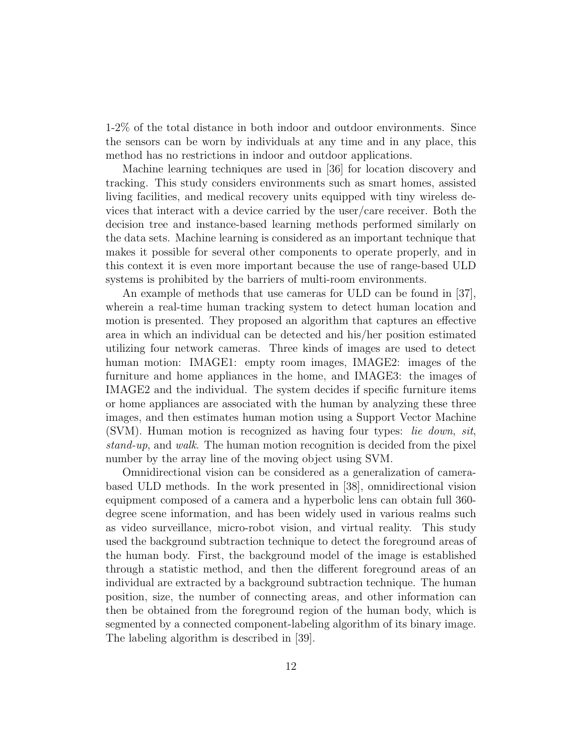1-2% of the total distance in both indoor and outdoor environments. Since the sensors can be worn by individuals at any time and in any place, this method has no restrictions in indoor and outdoor applications.

Machine learning techniques are used in [36] for location discovery and tracking. This study considers environments such as smart homes, assisted living facilities, and medical recovery units equipped with tiny wireless devices that interact with a device carried by the user/care receiver. Both the decision tree and instance-based learning methods performed similarly on the data sets. Machine learning is considered as an important technique that makes it possible for several other components to operate properly, and in this context it is even more important because the use of range-based ULD systems is prohibited by the barriers of multi-room environments.

An example of methods that use cameras for ULD can be found in [37], wherein a real-time human tracking system to detect human location and motion is presented. They proposed an algorithm that captures an effective area in which an individual can be detected and his/her position estimated utilizing four network cameras. Three kinds of images are used to detect human motion: IMAGE1: empty room images, IMAGE2: images of the furniture and home appliances in the home, and IMAGE3: the images of IMAGE2 and the individual. The system decides if specific furniture items or home appliances are associated with the human by analyzing these three images, and then estimates human motion using a Support Vector Machine (SVM). Human motion is recognized as having four types: lie down, sit, stand-up, and walk. The human motion recognition is decided from the pixel number by the array line of the moving object using SVM.

Omnidirectional vision can be considered as a generalization of camerabased ULD methods. In the work presented in [38], omnidirectional vision equipment composed of a camera and a hyperbolic lens can obtain full 360 degree scene information, and has been widely used in various realms such as video surveillance, micro-robot vision, and virtual reality. This study used the background subtraction technique to detect the foreground areas of the human body. First, the background model of the image is established through a statistic method, and then the different foreground areas of an individual are extracted by a background subtraction technique. The human position, size, the number of connecting areas, and other information can then be obtained from the foreground region of the human body, which is segmented by a connected component-labeling algorithm of its binary image. The labeling algorithm is described in [39].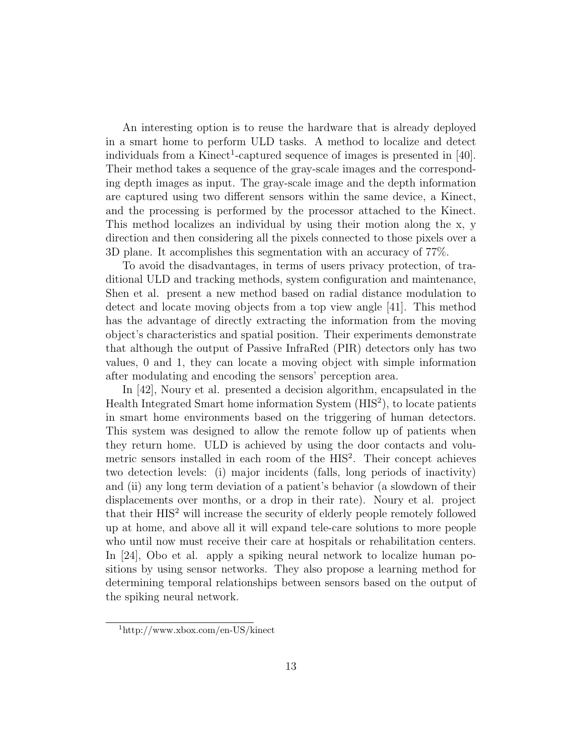An interesting option is to reuse the hardware that is already deployed in a smart home to perform ULD tasks. A method to localize and detect individuals from a Kinect<sup>1</sup>-captured sequence of images is presented in [40]. Their method takes a sequence of the gray-scale images and the corresponding depth images as input. The gray-scale image and the depth information are captured using two different sensors within the same device, a Kinect, and the processing is performed by the processor attached to the Kinect. This method localizes an individual by using their motion along the x, y direction and then considering all the pixels connected to those pixels over a 3D plane. It accomplishes this segmentation with an accuracy of 77%.

To avoid the disadvantages, in terms of users privacy protection, of traditional ULD and tracking methods, system configuration and maintenance, Shen et al. present a new method based on radial distance modulation to detect and locate moving objects from a top view angle [41]. This method has the advantage of directly extracting the information from the moving object's characteristics and spatial position. Their experiments demonstrate that although the output of Passive InfraRed (PIR) detectors only has two values, 0 and 1, they can locate a moving object with simple information after modulating and encoding the sensors' perception area.

In [42], Noury et al. presented a decision algorithm, encapsulated in the Health Integrated Smart home information System (HIS<sup>2</sup>), to locate patients in smart home environments based on the triggering of human detectors. This system was designed to allow the remote follow up of patients when they return home. ULD is achieved by using the door contacts and volumetric sensors installed in each room of the HIS<sup>2</sup>. Their concept achieves two detection levels: (i) major incidents (falls, long periods of inactivity) and (ii) any long term deviation of a patient's behavior (a slowdown of their displacements over months, or a drop in their rate). Noury et al. project that their  $HIS<sup>2</sup>$  will increase the security of elderly people remotely followed up at home, and above all it will expand tele-care solutions to more people who until now must receive their care at hospitals or rehabilitation centers. In [24], Obo et al. apply a spiking neural network to localize human positions by using sensor networks. They also propose a learning method for determining temporal relationships between sensors based on the output of the spiking neural network.

<sup>1</sup>http://www.xbox.com/en-US/kinect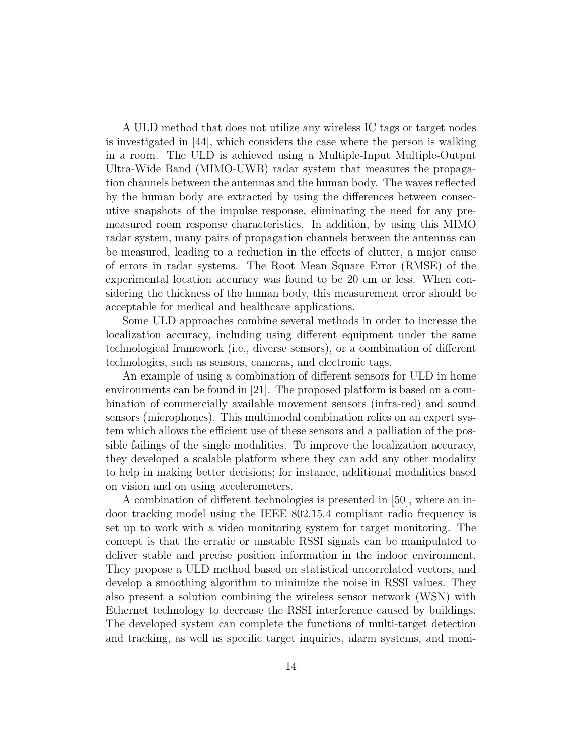A ULD method that does not utilize any wireless IC tags or target nodes is investigated in [44], which considers the case where the person is walking in a room. The ULD is achieved using a Multiple-Input Multiple-Output Ultra-Wide Band (MIMO-UWB) radar system that measures the propagation channels between the antennas and the human body. The waves reflected by the human body are extracted by using the differences between consecutive snapshots of the impulse response, eliminating the need for any premeasured room response characteristics. In addition, by using this MIMO radar system, many pairs of propagation channels between the antennas can be measured, leading to a reduction in the effects of clutter, a major cause of errors in radar systems. The Root Mean Square Error (RMSE) of the experimental location accuracy was found to be 20 cm or less. When considering the thickness of the human body, this measurement error should be acceptable for medical and healthcare applications.

Some ULD approaches combine several methods in order to increase the localization accuracy, including using different equipment under the same technological framework (i.e., diverse sensors), or a combination of different technologies, such as sensors, cameras, and electronic tags.

An example of using a combination of different sensors for ULD in home environments can be found in [21]. The proposed platform is based on a combination of commercially available movement sensors (infra-red) and sound sensors (microphones). This multimodal combination relies on an expert system which allows the efficient use of these sensors and a palliation of the possible failings of the single modalities. To improve the localization accuracy, they developed a scalable platform where they can add any other modality to help in making better decisions; for instance, additional modalities based on vision and on using accelerometers.

A combination of different technologies is presented in [50], where an indoor tracking model using the IEEE 802.15.4 compliant radio frequency is set up to work with a video monitoring system for target monitoring. The concept is that the erratic or unstable RSSI signals can be manipulated to deliver stable and precise position information in the indoor environment. They propose a ULD method based on statistical uncorrelated vectors, and develop a smoothing algorithm to minimize the noise in RSSI values. They also present a solution combining the wireless sensor network (WSN) with Ethernet technology to decrease the RSSI interference caused by buildings. The developed system can complete the functions of multi-target detection and tracking, as well as specific target inquiries, alarm systems, and moni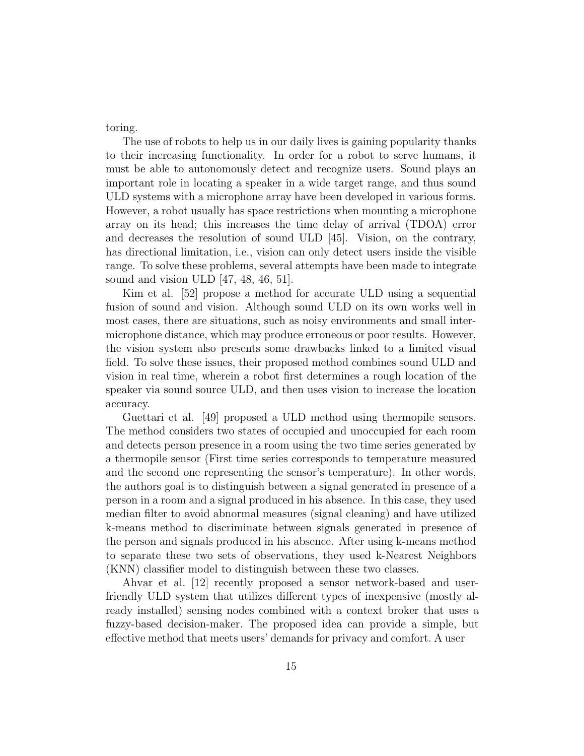toring.

The use of robots to help us in our daily lives is gaining popularity thanks to their increasing functionality. In order for a robot to serve humans, it must be able to autonomously detect and recognize users. Sound plays an important role in locating a speaker in a wide target range, and thus sound ULD systems with a microphone array have been developed in various forms. However, a robot usually has space restrictions when mounting a microphone array on its head; this increases the time delay of arrival (TDOA) error and decreases the resolution of sound ULD [45]. Vision, on the contrary, has directional limitation, i.e., vision can only detect users inside the visible range. To solve these problems, several attempts have been made to integrate sound and vision ULD [47, 48, 46, 51].

Kim et al. [52] propose a method for accurate ULD using a sequential fusion of sound and vision. Although sound ULD on its own works well in most cases, there are situations, such as noisy environments and small intermicrophone distance, which may produce erroneous or poor results. However, the vision system also presents some drawbacks linked to a limited visual field. To solve these issues, their proposed method combines sound ULD and vision in real time, wherein a robot first determines a rough location of the speaker via sound source ULD, and then uses vision to increase the location accuracy.

Guettari et al. [49] proposed a ULD method using thermopile sensors. The method considers two states of occupied and unoccupied for each room and detects person presence in a room using the two time series generated by a thermopile sensor (First time series corresponds to temperature measured and the second one representing the sensor's temperature). In other words, the authors goal is to distinguish between a signal generated in presence of a person in a room and a signal produced in his absence. In this case, they used median filter to avoid abnormal measures (signal cleaning) and have utilized k-means method to discriminate between signals generated in presence of the person and signals produced in his absence. After using k-means method to separate these two sets of observations, they used k-Nearest Neighbors (KNN) classifier model to distinguish between these two classes.

Ahvar et al. [12] recently proposed a sensor network-based and userfriendly ULD system that utilizes different types of inexpensive (mostly already installed) sensing nodes combined with a context broker that uses a fuzzy-based decision-maker. The proposed idea can provide a simple, but effective method that meets users' demands for privacy and comfort. A user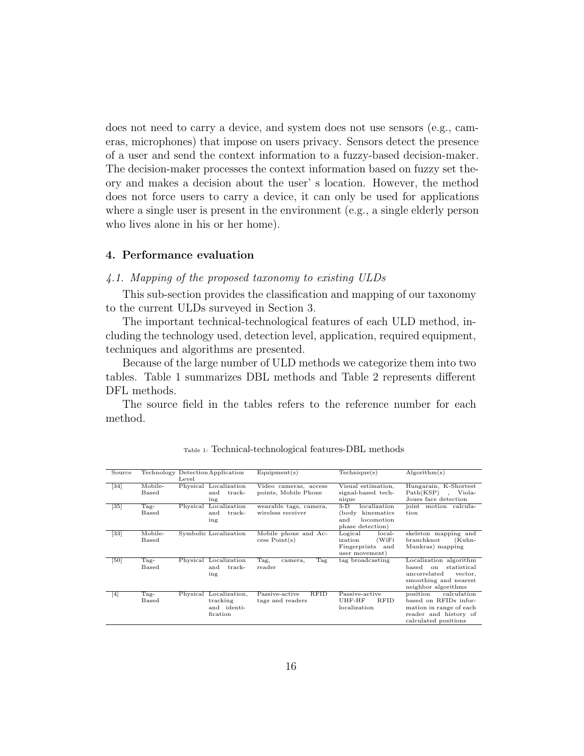does not need to carry a device, and system does not use sensors (e.g., cameras, microphones) that impose on users privacy. Sensors detect the presence of a user and send the context information to a fuzzy-based decision-maker. The decision-maker processes the context information based on fuzzy set theory and makes a decision about the user' s location. However, the method does not force users to carry a device, it can only be used for applications where a single user is present in the environment (e.g., a single elderly person who lives alone in his or her home).

#### 4. Performance evaluation

## 4.1. Mapping of the proposed taxonomy to existing ULDs

This sub-section provides the classification and mapping of our taxonomy to the current ULDs surveyed in Section 3.

The important technical-technological features of each ULD method, including the technology used, detection level, application, required equipment, techniques and algorithms are presented.

Because of the large number of ULD methods we categorize them into two tables. Table 1 summarizes DBL methods and Table 2 represents different DFL methods.

The source field in the tables refers to the reference number for each method.

| Source            |                  | Technology Detection Application<br>Level                     | Equipment(s)                                      | Technique(s)                                                                          | Algorithm(s)                                                                                                                             |
|-------------------|------------------|---------------------------------------------------------------|---------------------------------------------------|---------------------------------------------------------------------------------------|------------------------------------------------------------------------------------------------------------------------------------------|
| $\sqrt{34}$       | Mobile-<br>Based | Physical Localization<br>and<br>track-<br>ing                 | Video cameras, access<br>points, Mobile Phone     | Visual estimation,<br>signal-based tech-<br>nique                                     | Hungarain, K-Shortest<br>Path(KSP)<br>Viola-<br>Joues face detection                                                                     |
| $[35]$            | Tag-<br>Based    | Localization<br>Physical<br>and<br>track-<br>ing              | wearable tags, camera,<br>wireless receiver       | $3-D$<br>localization<br>kinematics<br>(body<br>locomotion<br>and<br>phase detection) | joint<br>motion calcula-<br>tion                                                                                                         |
| $[33]$            | Mobile-<br>Based | Symbolic Localization                                         | Mobile phone and Ac-<br>cess Point(s)             | Logical<br>local-<br>(WiFi<br>ization<br>Fingerprints<br>and<br>user movement)        | skeleton mapping and<br>branchknot<br>(Kuhn-<br>Munkras) mapping                                                                         |
| [50]              | Tag-<br>Based    | Physical Localization<br>track-<br>and<br>ing                 | Tag,<br>Tag<br>camera,<br>reader                  | tag broadcasting                                                                      | Localization algorithm<br>based<br>statistical<br>$_{\rm on}$<br>uncorrelated<br>vector,<br>smoothing and nearest<br>neighbor algorithms |
| $\lceil 4 \rceil$ | $Tag -$<br>Based | Physical Localization,<br>tracking<br>and identi-<br>fication | <b>RFID</b><br>Passive-active<br>tags and readers | Passive-active<br><b>RFID</b><br>UHF-HF<br>localization                               | position<br>calculation<br>based on RFIDs infor-<br>mation in range of each<br>reader and history of<br>calculated positions             |

Table 1: Technical-technological features-DBL methods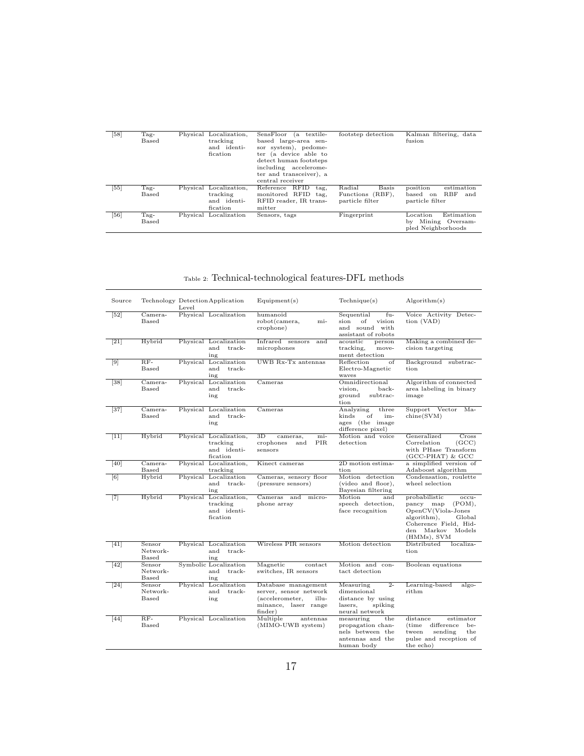| [58] | Tag-<br>Based   | Physical Localization,<br>tracking<br>and identi-<br>fication | $(a \text{ texture}$<br>SensFloor<br>based large-area sen-<br>sor system), pedome-<br>ter (a device able to<br>detect human footsteps<br>including accelerome-<br>ter and transceiver), a<br>central receiver | footstep detection                                            | Kalman filtering, data<br>fusion                                       |
|------|-----------------|---------------------------------------------------------------|---------------------------------------------------------------------------------------------------------------------------------------------------------------------------------------------------------------|---------------------------------------------------------------|------------------------------------------------------------------------|
| [55] | $Tag-$<br>Based | Physical Localization,<br>tracking<br>and identi-<br>fication | Reference RFID<br>tag,<br>monitored RFID tag,<br>RFID reader, IR trans-<br>mitter                                                                                                                             | Radial<br><b>Basis</b><br>Functions (RBF),<br>particle filter | position<br>estimation<br>RBF<br>based<br>and<br>on<br>particle filter |
| [56] | $Tag-$<br>Based | Physical Localization                                         | Sensors, tags                                                                                                                                                                                                 | Fingerprint                                                   | Estimation<br>Location<br>Mining Oversam-<br>bv<br>pled Neighborhoods  |

## Table 2: Technical-technological features-DFL methods

| Source             |                                    | Level    | Technology Detection Application                              | Equipment(s)                                                                                                 | Technique(s)                                                                                   | Algorithm(s)                                                                                                                                                 |
|--------------------|------------------------------------|----------|---------------------------------------------------------------|--------------------------------------------------------------------------------------------------------------|------------------------------------------------------------------------------------------------|--------------------------------------------------------------------------------------------------------------------------------------------------------------|
| $\sqrt{52}$        | Camera-<br>Based                   |          | Physical Localization                                         | humanoid<br>robot(camera,<br>mi-<br>crophone)                                                                | Sequential<br>$fu-$<br>of<br>sion<br>vision<br>and sound with<br>assistant of robots           | Voice Activity Detec-<br>tion (VAD)                                                                                                                          |
| $\lceil 21 \rceil$ | Hybrid                             |          | Physical Localization<br>track-<br>and<br>ing                 | Infrared sensors<br>and<br>microphones                                                                       | acoustic<br>person<br>move-<br>tracking,<br>ment detection                                     | Making a combined de-<br>cision targeting                                                                                                                    |
| $\lceil 9 \rceil$  | $RF-$<br>Based                     |          | Physical Localization<br>track-<br>and<br>ing                 | UWB Rx-Tx antennas                                                                                           | Reflection<br>of<br>Electro-Magnetic<br>waves                                                  | Background substrac-<br>tion                                                                                                                                 |
| $\sqrt{38}$        | Camera-<br>Based                   |          | Physical Localization<br>track-<br>and<br>ing                 | Cameras                                                                                                      | Omnidirectional<br>back-<br>vision,<br>ground<br>subtrac-<br>tion                              | Algorithm of connected<br>area labeling in binary<br>image                                                                                                   |
| $[37]$             | Camera-<br><b>Based</b>            |          | Physical Localization<br>and<br>track-<br>ing                 | Cameras                                                                                                      | Analyzing<br>three<br>$\alpha$ f<br>kinds<br>im-<br>ages (the image<br>difference pixel)       | Support<br>Vector<br>Ma-<br>chine(SVM)                                                                                                                       |
| $[11]$             | Hybrid                             |          | Physical Localization,<br>tracking<br>and identi-<br>fication | $_{\rm 3D}$<br>mi-<br>cameras,<br>crophones<br>and<br>PIR.<br>sensors                                        | Motion and voice<br>detection                                                                  | Generalized<br>Cross<br>Correlation<br>(GCC)<br>with PHase Transform<br>(GCC-PHAT) & GCC                                                                     |
| [40]               | Camera-<br>Based                   |          | Physical Localization,<br>tracking                            | Kinect cameras                                                                                               | 2D motion estima-<br>tion                                                                      | a simplified version of<br>Adaboost algorithm                                                                                                                |
| [6]                | Hybrid                             |          | Physical Localization<br>and<br>track-<br>ing                 | Cameras, sensory floor<br>(pressure sensors)                                                                 | Motion detection<br>(video and floor),<br>Bayesian filtering                                   | Condensation, roulette<br>wheel selection                                                                                                                    |
| $[7]$              | Hybrid                             | Physical | Localization,<br>tracking<br>and identi-<br>fication          | Cameras and<br>micro-<br>phone array                                                                         | Motion<br>and<br>speech detection,<br>face recognition                                         | probabilistic<br>occu-<br>pancy map<br>(POM),<br>OpenCV(Viola-Jones<br>algorithm),<br>Global<br>Coherence Field, Hid-<br>Models<br>den Markov<br>(HMMs), SVM |
| [41]               | Sensor<br>Network-<br><b>Based</b> |          | Physical Localization<br>and<br>track-<br>ing                 | Wireless PIR sensors                                                                                         | Motion detection                                                                               | Distributed<br>localiza-<br>tion                                                                                                                             |
| [42]               | Sensor<br>Network-<br>Based        |          | Symbolic Localization<br>track-<br>and<br>ing                 | Magnetic<br>contact<br>switches, IR sensors                                                                  | Motion and con-<br>tact detection                                                              | Boolean equations                                                                                                                                            |
| $[24]$             | Sensor<br>Network-<br><b>Based</b> |          | Physical Localization<br>and<br>track-<br>ing                 | Database management<br>server, sensor network<br>(accelerometer,<br>illu-<br>minance, laser range<br>finder) | $2 -$<br>Measuring<br>dimensional<br>distance by using<br>lasers.<br>spiking<br>neural network | Learning-based<br>algo-<br>rithm                                                                                                                             |
| $[44]$             | $RF-$<br><b>Based</b>              |          | Physical Localization                                         | Multiple<br>antennas<br>(MIMO-UWB system)                                                                    | measuring<br>the<br>propagation chan-<br>nels between the<br>antennas and the<br>human body    | distance<br>estimator<br>difference<br>(time<br>be-<br>sending<br>the<br>tween<br>pulse and reception of<br>the echo)                                        |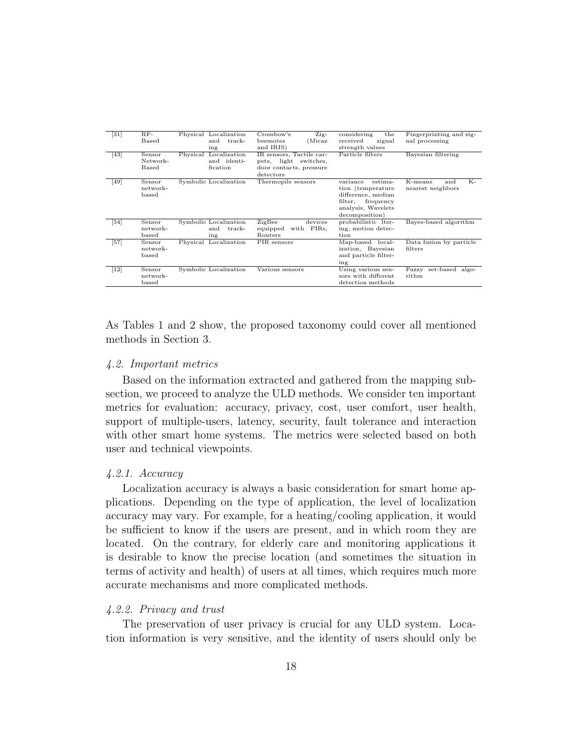| $\lceil 31 \rceil$ | $RF-$    | Physical Localization | Crossbow's<br>Zig-       | considering<br>the   | Fingerprinting and sig-     |
|--------------------|----------|-----------------------|--------------------------|----------------------|-----------------------------|
|                    | Based    | and<br>track-         | (Micaz<br>beemotes       | signal<br>received   | nal processing              |
|                    |          | ing                   | and IRIS)                | strength values      |                             |
| $\sqrt{43}$        | Sensor   | Physical Localization | IR sensors, Tactile car- | Particle filters     | Bayesian filtering          |
|                    | Network- | and identi-           | light switches,<br>pets, |                      |                             |
|                    | Based    | fication              | door contacts, pressure  |                      |                             |
|                    |          |                       |                          |                      |                             |
|                    |          |                       | detectors                |                      |                             |
| [49]               | Sensor   | Symbolic Localization | Thermopile sensors       | variance<br>estima-  | K-<br>K-means<br>and        |
|                    | network- |                       |                          | tion (temperature)   | nearest neighbors           |
|                    | based    |                       |                          | difference, median   |                             |
|                    |          |                       |                          | filter.<br>frequency |                             |
|                    |          |                       |                          | analysis, Wavelets   |                             |
|                    |          |                       |                          | decomposition)       |                             |
|                    | Sensor   | Symbolic Localization | ZigBee<br>devices        | probabilistic lter-  | Bayes-based algorithm       |
| $\sqrt{54}$        |          |                       |                          |                      |                             |
|                    | network- | and<br>track-         | equipped<br>with PIRs,   | ing, motion detec-   |                             |
|                    | based    | ing                   | Routers                  | tion                 |                             |
| $[57]$             | Sensor   | Physical Localization | PIR sensors              | Map-based local-     | Data fusion by particle     |
|                    | network- |                       |                          | ization, Bayesian    | filters                     |
|                    | based    |                       |                          | and particle filter- |                             |
|                    |          |                       |                          | ing                  |                             |
|                    |          |                       |                          |                      |                             |
| $[12]$             | Sensor   | Symbolic Localization | Various sensors          | Using various sen-   | set-based<br>algo-<br>Fuzzy |
|                    | network- |                       |                          | sors with different  | rithm                       |
|                    | based    |                       |                          | detection methods    |                             |

As Tables 1 and 2 show, the proposed taxonomy could cover all mentioned methods in Section 3.

#### 4.2. Important metrics

Based on the information extracted and gathered from the mapping subsection, we proceed to analyze the ULD methods. We consider ten important metrics for evaluation: accuracy, privacy, cost, user comfort, user health, support of multiple-users, latency, security, fault tolerance and interaction with other smart home systems. The metrics were selected based on both user and technical viewpoints.

#### 4.2.1. Accuracy

Localization accuracy is always a basic consideration for smart home applications. Depending on the type of application, the level of localization accuracy may vary. For example, for a heating/cooling application, it would be sufficient to know if the users are present, and in which room they are located. On the contrary, for elderly care and monitoring applications it is desirable to know the precise location (and sometimes the situation in terms of activity and health) of users at all times, which requires much more accurate mechanisms and more complicated methods.

### 4.2.2. Privacy and trust

The preservation of user privacy is crucial for any ULD system. Location information is very sensitive, and the identity of users should only be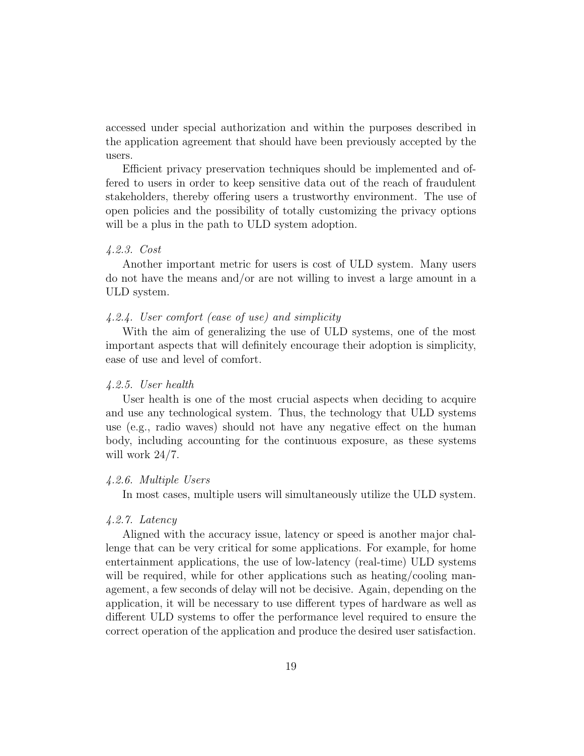accessed under special authorization and within the purposes described in the application agreement that should have been previously accepted by the users.

Efficient privacy preservation techniques should be implemented and offered to users in order to keep sensitive data out of the reach of fraudulent stakeholders, thereby offering users a trustworthy environment. The use of open policies and the possibility of totally customizing the privacy options will be a plus in the path to ULD system adoption.

#### 4.2.3. Cost

Another important metric for users is cost of ULD system. Many users do not have the means and/or are not willing to invest a large amount in a ULD system.

### 4.2.4. User comfort (ease of use) and simplicity

With the aim of generalizing the use of ULD systems, one of the most important aspects that will definitely encourage their adoption is simplicity, ease of use and level of comfort.

#### 4.2.5. User health

User health is one of the most crucial aspects when deciding to acquire and use any technological system. Thus, the technology that ULD systems use (e.g., radio waves) should not have any negative effect on the human body, including accounting for the continuous exposure, as these systems will work 24/7.

## 4.2.6. Multiple Users

In most cases, multiple users will simultaneously utilize the ULD system.

## 4.2.7. Latency

Aligned with the accuracy issue, latency or speed is another major challenge that can be very critical for some applications. For example, for home entertainment applications, the use of low-latency (real-time) ULD systems will be required, while for other applications such as heating/cooling management, a few seconds of delay will not be decisive. Again, depending on the application, it will be necessary to use different types of hardware as well as different ULD systems to offer the performance level required to ensure the correct operation of the application and produce the desired user satisfaction.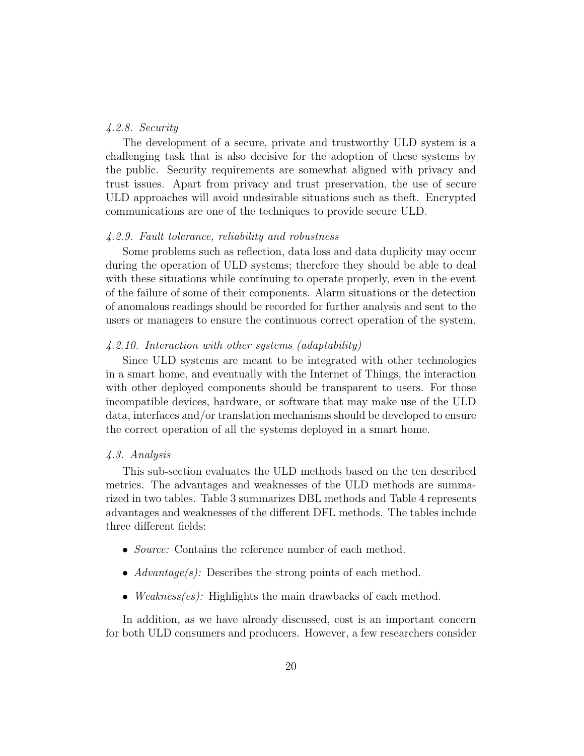#### 4.2.8. Security

The development of a secure, private and trustworthy ULD system is a challenging task that is also decisive for the adoption of these systems by the public. Security requirements are somewhat aligned with privacy and trust issues. Apart from privacy and trust preservation, the use of secure ULD approaches will avoid undesirable situations such as theft. Encrypted communications are one of the techniques to provide secure ULD.

#### 4.2.9. Fault tolerance, reliability and robustness

Some problems such as reflection, data loss and data duplicity may occur during the operation of ULD systems; therefore they should be able to deal with these situations while continuing to operate properly, even in the event of the failure of some of their components. Alarm situations or the detection of anomalous readings should be recorded for further analysis and sent to the users or managers to ensure the continuous correct operation of the system.

## 4.2.10. Interaction with other systems (adaptability)

Since ULD systems are meant to be integrated with other technologies in a smart home, and eventually with the Internet of Things, the interaction with other deployed components should be transparent to users. For those incompatible devices, hardware, or software that may make use of the ULD data, interfaces and/or translation mechanisms should be developed to ensure the correct operation of all the systems deployed in a smart home.

#### 4.3. Analysis

This sub-section evaluates the ULD methods based on the ten described metrics. The advantages and weaknesses of the ULD methods are summarized in two tables. Table 3 summarizes DBL methods and Table 4 represents advantages and weaknesses of the different DFL methods. The tables include three different fields:

- *Source:* Contains the reference number of each method.
- $Advantage(s)$ : Describes the strong points of each method.
- *Weakness(es)*: Highlights the main drawbacks of each method.

In addition, as we have already discussed, cost is an important concern for both ULD consumers and producers. However, a few researchers consider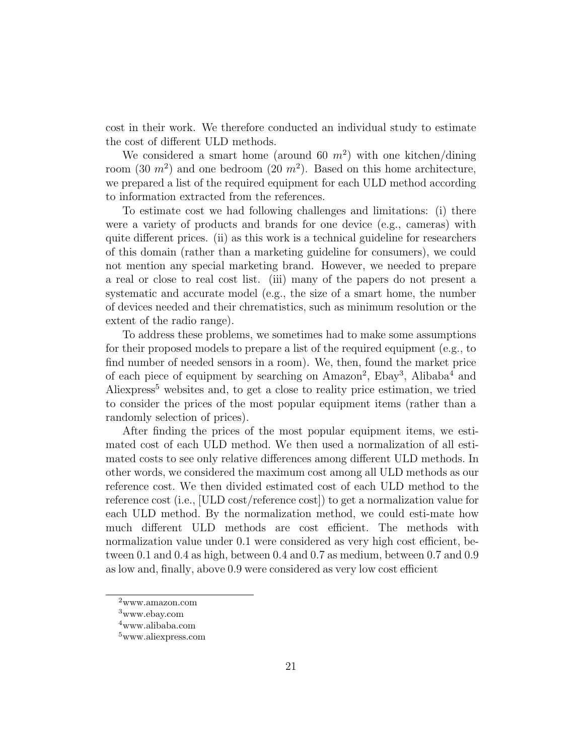cost in their work. We therefore conducted an individual study to estimate the cost of different ULD methods.

We considered a smart home (around 60  $m^2$ ) with one kitchen/dining room  $(30 \, m^2)$  and one bedroom  $(20 \, m^2)$ . Based on this home architecture, we prepared a list of the required equipment for each ULD method according to information extracted from the references.

To estimate cost we had following challenges and limitations: (i) there were a variety of products and brands for one device (e.g., cameras) with quite different prices. (ii) as this work is a technical guideline for researchers of this domain (rather than a marketing guideline for consumers), we could not mention any special marketing brand. However, we needed to prepare a real or close to real cost list. (iii) many of the papers do not present a systematic and accurate model (e.g., the size of a smart home, the number of devices needed and their chrematistics, such as minimum resolution or the extent of the radio range).

To address these problems, we sometimes had to make some assumptions for their proposed models to prepare a list of the required equipment (e.g., to find number of needed sensors in a room). We, then, found the market price of each piece of equipment by searching on Amazon<sup>2</sup>, Ebay<sup>3</sup>, Alibaba<sup>4</sup> and Aliexpress<sup>5</sup> websites and, to get a close to reality price estimation, we tried to consider the prices of the most popular equipment items (rather than a randomly selection of prices).

After finding the prices of the most popular equipment items, we estimated cost of each ULD method. We then used a normalization of all estimated costs to see only relative differences among different ULD methods. In other words, we considered the maximum cost among all ULD methods as our reference cost. We then divided estimated cost of each ULD method to the reference cost (i.e., [ULD cost/reference cost]) to get a normalization value for each ULD method. By the normalization method, we could esti-mate how much different ULD methods are cost efficient. The methods with normalization value under 0.1 were considered as very high cost efficient, between 0.1 and 0.4 as high, between 0.4 and 0.7 as medium, between 0.7 and 0.9 as low and, finally, above 0.9 were considered as very low cost efficient

<sup>2</sup>www.amazon.com

<sup>3</sup>www.ebay.com

<sup>4</sup>www.alibaba.com

<sup>5</sup>www.aliexpress.com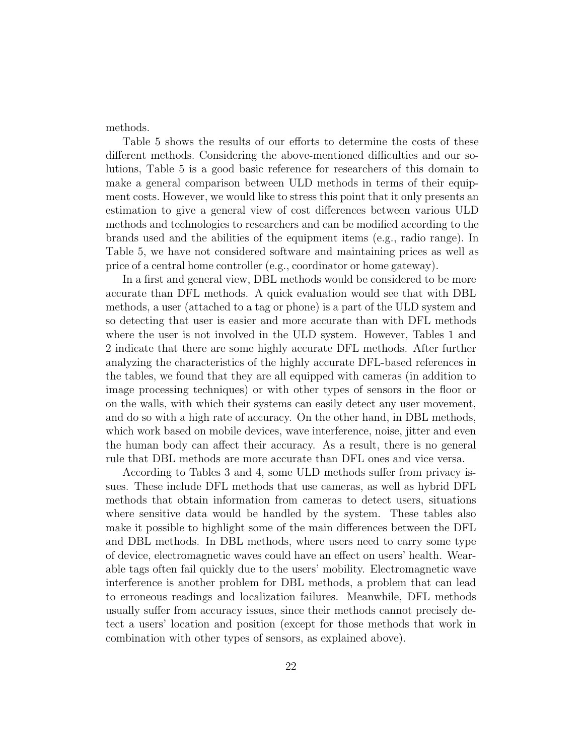methods.

Table 5 shows the results of our efforts to determine the costs of these different methods. Considering the above-mentioned difficulties and our solutions, Table 5 is a good basic reference for researchers of this domain to make a general comparison between ULD methods in terms of their equipment costs. However, we would like to stress this point that it only presents an estimation to give a general view of cost differences between various ULD methods and technologies to researchers and can be modified according to the brands used and the abilities of the equipment items (e.g., radio range). In Table 5, we have not considered software and maintaining prices as well as price of a central home controller (e.g., coordinator or home gateway).

In a first and general view, DBL methods would be considered to be more accurate than DFL methods. A quick evaluation would see that with DBL methods, a user (attached to a tag or phone) is a part of the ULD system and so detecting that user is easier and more accurate than with DFL methods where the user is not involved in the ULD system. However, Tables 1 and 2 indicate that there are some highly accurate DFL methods. After further analyzing the characteristics of the highly accurate DFL-based references in the tables, we found that they are all equipped with cameras (in addition to image processing techniques) or with other types of sensors in the floor or on the walls, with which their systems can easily detect any user movement, and do so with a high rate of accuracy. On the other hand, in DBL methods, which work based on mobile devices, wave interference, noise, jitter and even the human body can affect their accuracy. As a result, there is no general rule that DBL methods are more accurate than DFL ones and vice versa.

According to Tables 3 and 4, some ULD methods suffer from privacy issues. These include DFL methods that use cameras, as well as hybrid DFL methods that obtain information from cameras to detect users, situations where sensitive data would be handled by the system. These tables also make it possible to highlight some of the main differences between the DFL and DBL methods. In DBL methods, where users need to carry some type of device, electromagnetic waves could have an effect on users' health. Wearable tags often fail quickly due to the users' mobility. Electromagnetic wave interference is another problem for DBL methods, a problem that can lead to erroneous readings and localization failures. Meanwhile, DFL methods usually suffer from accuracy issues, since their methods cannot precisely detect a users' location and position (except for those methods that work in combination with other types of sensors, as explained above).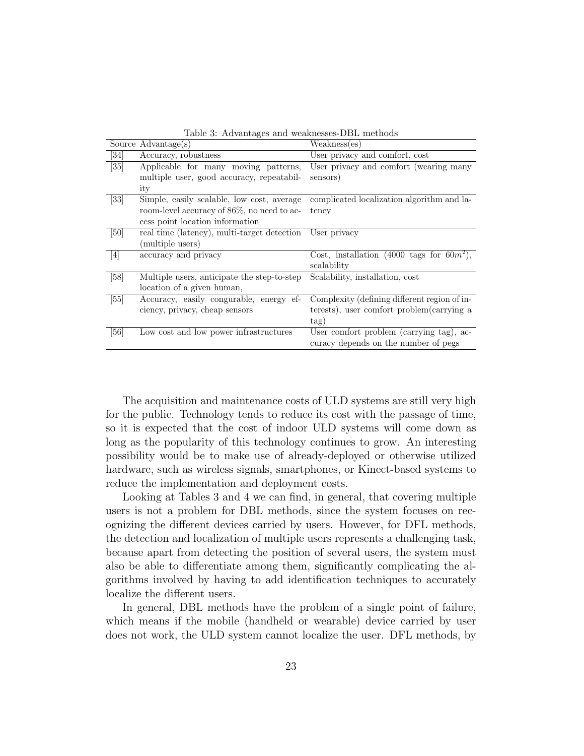|                   | rable of the nancegos and weakhesses DDB incentous |                                              |  |  |  |  |  |
|-------------------|----------------------------------------------------|----------------------------------------------|--|--|--|--|--|
|                   | Source Advantage(s)                                | Weakness(es)                                 |  |  |  |  |  |
| $\left[34\right]$ | Accuracy, robustness                               | User privacy and comfort, cost               |  |  |  |  |  |
| $\left[35\right]$ | Applicable for many moving patterns,               | User privacy and comfort (wearing many       |  |  |  |  |  |
|                   | multiple user, good accuracy, repeatabil-          | sensors)                                     |  |  |  |  |  |
|                   | ity                                                |                                              |  |  |  |  |  |
| $[33]$            | Simple, easily scalable, low cost, average         | complicated localization algorithm and la-   |  |  |  |  |  |
|                   | room-level accuracy of 86%, no need to ac-         | tency                                        |  |  |  |  |  |
|                   | cess point location information                    |                                              |  |  |  |  |  |
| [50]              | real time (latency), multi-target detection        | User privacy                                 |  |  |  |  |  |
|                   | (multiple users)                                   |                                              |  |  |  |  |  |
| $\left[4\right]$  | accuracy and privacy                               | Cost, installation (4000 tags for $60m^2$ ), |  |  |  |  |  |
|                   |                                                    | scalability                                  |  |  |  |  |  |
| [58]              | Multiple users, anticipate the step-to-step        | Scalability, installation, cost              |  |  |  |  |  |
|                   | location of a given human,                         |                                              |  |  |  |  |  |
| [55]              | Accuracy, easily congurable, energy ef-            | Complexity (defining different region of in- |  |  |  |  |  |
|                   | ciency, privacy, cheap sensors                     | terests), user comfort problem (carrying a   |  |  |  |  |  |
|                   |                                                    | tag)                                         |  |  |  |  |  |
| [56]              | Low cost and low power infrastructures             | User comfort problem (carrying tag), ac-     |  |  |  |  |  |
|                   |                                                    | curacy depends on the number of pegs         |  |  |  |  |  |

Table 3: Advantages and weaknesses-DBL methods

The acquisition and maintenance costs of ULD systems are still very high for the public. Technology tends to reduce its cost with the passage of time, so it is expected that the cost of indoor ULD systems will come down as long as the popularity of this technology continues to grow. An interesting possibility would be to make use of already-deployed or otherwise utilized hardware, such as wireless signals, smartphones, or Kinect-based systems to reduce the implementation and deployment costs.

Looking at Tables 3 and 4 we can find, in general, that covering multiple users is not a problem for DBL methods, since the system focuses on recognizing the different devices carried by users. However, for DFL methods, the detection and localization of multiple users represents a challenging task, because apart from detecting the position of several users, the system must also be able to differentiate among them, significantly complicating the algorithms involved by having to add identification techniques to accurately localize the different users.

In general, DBL methods have the problem of a single point of failure, which means if the mobile (handheld or wearable) device carried by user does not work, the ULD system cannot localize the user. DFL methods, by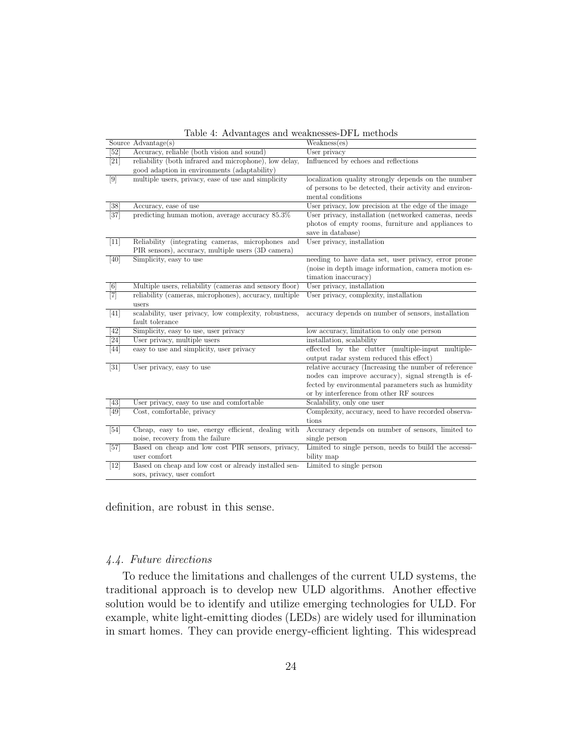|                   | Source Advantage(s)                                     | Weakness(es)                                           |
|-------------------|---------------------------------------------------------|--------------------------------------------------------|
| [52]              | Accuracy, reliable (both vision and sound)              | User privacy                                           |
| [21]              | reliability (both infrared and microphone), low delay,  | Influenced by echoes and reflections                   |
|                   | good adaption in environments (adaptability)            |                                                        |
| $\lceil 9 \rceil$ | multiple users, privacy, ease of use and simplicity     | localization quality strongly depends on the number    |
|                   |                                                         | of persons to be detected, their activity and environ- |
|                   |                                                         | mental conditions                                      |
| [38]              | Accuracy, ease of use                                   | User privacy, low precision at the edge of the image   |
| $[37]$            | predicting human motion, average accuracy 85.3%         | User privacy, installation (networked cameras, needs   |
|                   |                                                         | photos of empty rooms, furniture and appliances to     |
|                   |                                                         | save in database)                                      |
| $[11]$            | Reliability (integrating cameras, microphones and       | User privacy, installation                             |
|                   | PIR sensors), accuracy, multiple users (3D camera)      |                                                        |
| [40]              | Simplicity, easy to use                                 | needing to have data set, user privacy, error prone    |
|                   |                                                         | (noise in depth image information, camera motion es-   |
|                   |                                                         | timation inaccuracy)                                   |
| [6]               | Multiple users, reliability (cameras and sensory floor) | User privacy, installation                             |
| $\boxed{7}$       | reliability (cameras, microphones), accuracy, multiple  | User privacy, complexity, installation                 |
|                   | users                                                   |                                                        |
| [41]              | scalability, user privacy, low complexity, robustness,  | accuracy depends on number of sensors, installation    |
|                   | fault tolerance                                         |                                                        |
| [42]              | Simplicity, easy to use, user privacy                   | low accuracy, limitation to only one person            |
| [24]              | User privacy, multiple users                            | installation, scalability                              |
| [44]              | easy to use and simplicity, user privacy                | effected by the clutter (multiple-input multiple-      |
|                   |                                                         | output radar system reduced this effect)               |
| $[31]$            | User privacy, easy to use                               | relative accuracy (Increasing the number of reference  |
|                   |                                                         | nodes can improve accuracy), signal strength is ef-    |
|                   |                                                         | fected by environmental parameters such as humidity    |
|                   |                                                         | or by interference from other RF sources               |
| [43]              | User privacy, easy to use and comfortable               | Scalability, only one user                             |
| [49]              | Cost, comfortable, privacy                              | Complexity, accuracy, need to have recorded observa-   |
|                   |                                                         | tions                                                  |
| $[54]$            | Cheap, easy to use, energy efficient, dealing with      | Accuracy depends on number of sensors, limited to      |
|                   | noise, recovery from the failure                        | single person                                          |
| $[57]$            | Based on cheap and low cost PIR sensors, privacy,       | Limited to single person, needs to build the accessi-  |
|                   | user comfort                                            | bility map                                             |
| $[12]$            | Based on cheap and low cost or already installed sen-   | Limited to single person                               |
|                   | sors, privacy, user comfort                             |                                                        |

Table 4: Advantages and weaknesses-DFL methods

definition, are robust in this sense.

## 4.4. Future directions

To reduce the limitations and challenges of the current ULD systems, the traditional approach is to develop new ULD algorithms. Another effective solution would be to identify and utilize emerging technologies for ULD. For example, white light-emitting diodes (LEDs) are widely used for illumination in smart homes. They can provide energy-efficient lighting. This widespread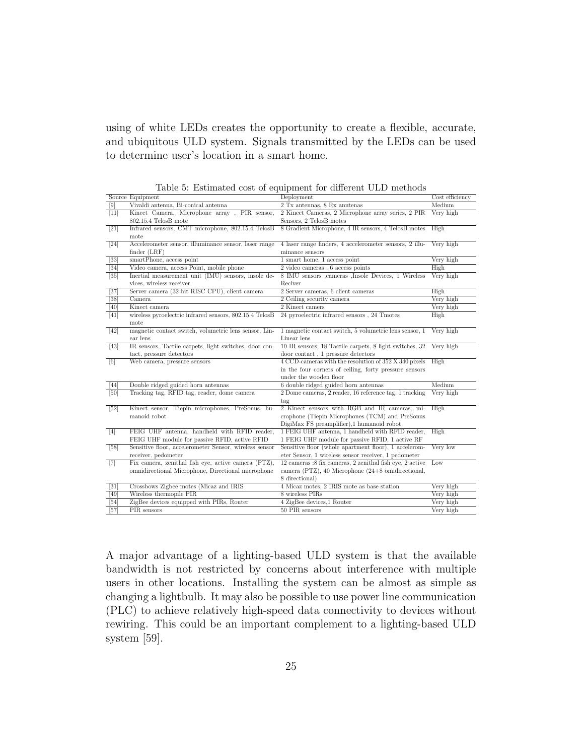using of white LEDs creates the opportunity to create a flexible, accurate, and ubiquitous ULD system. Signals transmitted by the LEDs can be used to determine user's location in a smart home.

|  |  | Table 5: Estimated cost of equipment for different ULD methods |  |  |  |  |  |  |  |
|--|--|----------------------------------------------------------------|--|--|--|--|--|--|--|
|--|--|----------------------------------------------------------------|--|--|--|--|--|--|--|

|                   | Source Equipment                                        | rasie s. Estimated cost of equipment for unfertile clip incendue<br>Deployment                | Cost efficiency |
|-------------------|---------------------------------------------------------|-----------------------------------------------------------------------------------------------|-----------------|
| [9]               | Vivaldi antenna, Bi-conical antenna                     | 2 Tx antennas, 8 Rx anntenas                                                                  | Medium          |
| $[11]$            | Kinect Camera, Microphone array, PIR sensor,            | 2 Kinect Cameras, 2 Microphone array series, 2 PIR                                            | Very high       |
|                   | $802.15.4$ TelosB mote                                  | Sensors, 2 TelosB motes                                                                       |                 |
| $[21]$            | Infrared sensors, CMT microphone, 802.15.4 TelosB       | 8 Gradient Microphone, 4 IR sensors, 4 TelosB motes                                           | High            |
|                   | mote                                                    |                                                                                               |                 |
| [24]              | Accelerometer sensor, illuminance sensor, laser range   | 4 laser range finders, 4 accelerometer sensors, 2 illu-                                       | Very high       |
|                   | finder (LRF)                                            | minance sensors                                                                               |                 |
| $\left[33\right]$ | smartPhone, access point                                | 1 smart home, 1 access point                                                                  | Very high       |
| [34]              | Video camera, access Point, mobile phone                | $2$ video cameras, $6$ access points                                                          | High            |
| $\overline{35}$   | Inertial measurement unit (IMU) sensors, insole de-     | 8 IMU sensors , cameras , Insole Devices, 1 Wireless                                          | Very high       |
|                   | vices, wireless receiver                                | Reciver                                                                                       |                 |
| $[37]$            | Server camera (32 bit RISC CPU), client camera          | 2 Server cameras, 6 client cameras                                                            | High            |
| $\overline{38}$   | Camera                                                  | 2 Ceiling security camera                                                                     | Very high       |
| [40]              | Kinect camera                                           | 2 Kinect camers                                                                               | Very high       |
| [41]              | wireless pyroelectric infrared sensors, 802.15.4 TelosB | 24 pyroelectric infrared sensors, 24 Tmotes                                                   | High            |
|                   | mote                                                    |                                                                                               |                 |
| $\overline{42}$   | magnetic contact switch, volumetric lens sensor, Lin-   | 1 magnetic contact switch, 5 volumetric lens sensor, 1                                        | Very high       |
|                   | ear lens                                                | Linear lens                                                                                   |                 |
| $[43]$            | IR sensors, Tactile carpets, light switches, door con-  | 10 IR sensors, 18 Tactile carpets, 8 light switches, 32 Very high                             |                 |
|                   | tact, pressure detectors                                | door contact, 1 pressure detectors                                                            |                 |
| [6]               | Web camera, pressure sensors                            | 4 CCD-cameras with the resolution of 352 X 340 pixels                                         | High            |
|                   |                                                         | in the four corners of ceiling, forty pressure sensors                                        |                 |
|                   |                                                         | under the wooden floor                                                                        |                 |
| [44]              | Double ridged guided horn antennas                      | 6 double ridged guided horn antennas                                                          | Medium          |
| [50]              | Tracking tag, RFID tag, reader, dome camera             | 2 Dome cameras, 2 reader, 16 reference tag, 1 tracking                                        | Very high       |
|                   |                                                         | tag                                                                                           |                 |
| $[52]$            | Kinect sensor, Tiepin microphones, PreSonus, hu-        | 2 Kinect sensors with RGB and IR cameras, mi-                                                 | High            |
|                   | manoid robot                                            | crophone (Tiepin Microphones (TCM) and PreSonus                                               |                 |
|                   | FEIG UHF antenna, handheld with RFID reader,            | DigiMax FS preamplifier),1 humanoid robot<br>1 FEIG UHF antenna, 1 handheld with RFID reader, | High            |
| $\lceil 4 \rceil$ | FEIG UHF module for passive RFID, active RFID           | 1 FEIG UHF module for passive RFID, 1 active RF                                               |                 |
| $[58]$            | Sensitive floor, accelerometer Sensor, wireless sensor  | Sensitive floor (whole apartment floor), 1 accelerom-                                         | Very low        |
|                   | receiver, pedometer                                     | eter Sensor, 1 wireless sensor receiver, 1 pedometer                                          |                 |
| [7]               | Fix camera, zenithal fish eye, active camera (PTZ),     | 12 cameras :8 fix cameras, 2 zenithal fish eye, 2 active                                      | Low             |
|                   | omnidirectional Microphone, Directional microphone      | camera (PTZ), 40 Microphone $(24+8 \text{ omnidirectional},$                                  |                 |
|                   |                                                         | 8 directional)                                                                                |                 |
| $\overline{31}$   | Crossbows Zigbee motes (Micaz and IRIS                  | 4 Micaz motes, 2 IRIS mote as base station                                                    | Very high       |
| 49                | Wireless thermopile PIR                                 | 8 wireless PIRs                                                                               | Very high       |
| $[54]$            | ZigBee devices equipped with PIRs, Router               | 4 ZigBee devices, 1 Router                                                                    | Very high       |
| [57]              | PIR sensors                                             | 50 PIR sensors                                                                                | Very high       |

A major advantage of a lighting-based ULD system is that the available bandwidth is not restricted by concerns about interference with multiple users in other locations. Installing the system can be almost as simple as changing a lightbulb. It may also be possible to use power line communication (PLC) to achieve relatively high-speed data connectivity to devices without rewiring. This could be an important complement to a lighting-based ULD system [59].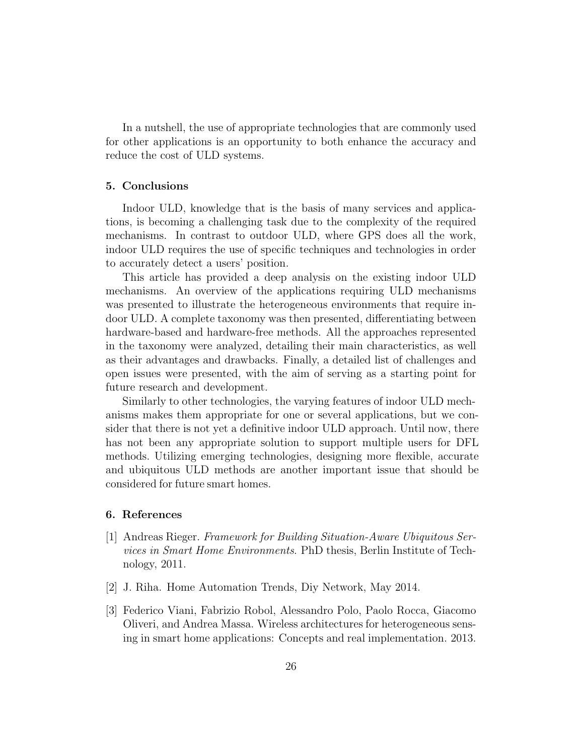In a nutshell, the use of appropriate technologies that are commonly used for other applications is an opportunity to both enhance the accuracy and reduce the cost of ULD systems.

#### 5. Conclusions

Indoor ULD, knowledge that is the basis of many services and applications, is becoming a challenging task due to the complexity of the required mechanisms. In contrast to outdoor ULD, where GPS does all the work, indoor ULD requires the use of specific techniques and technologies in order to accurately detect a users' position.

This article has provided a deep analysis on the existing indoor ULD mechanisms. An overview of the applications requiring ULD mechanisms was presented to illustrate the heterogeneous environments that require indoor ULD. A complete taxonomy was then presented, differentiating between hardware-based and hardware-free methods. All the approaches represented in the taxonomy were analyzed, detailing their main characteristics, as well as their advantages and drawbacks. Finally, a detailed list of challenges and open issues were presented, with the aim of serving as a starting point for future research and development.

Similarly to other technologies, the varying features of indoor ULD mechanisms makes them appropriate for one or several applications, but we consider that there is not yet a definitive indoor ULD approach. Until now, there has not been any appropriate solution to support multiple users for DFL methods. Utilizing emerging technologies, designing more flexible, accurate and ubiquitous ULD methods are another important issue that should be considered for future smart homes.

#### 6. References

- [1] Andreas Rieger. Framework for Building Situation-Aware Ubiquitous Services in Smart Home Environments. PhD thesis, Berlin Institute of Technology, 2011.
- [2] J. Riha. Home Automation Trends, Diy Network, May 2014.
- [3] Federico Viani, Fabrizio Robol, Alessandro Polo, Paolo Rocca, Giacomo Oliveri, and Andrea Massa. Wireless architectures for heterogeneous sensing in smart home applications: Concepts and real implementation. 2013.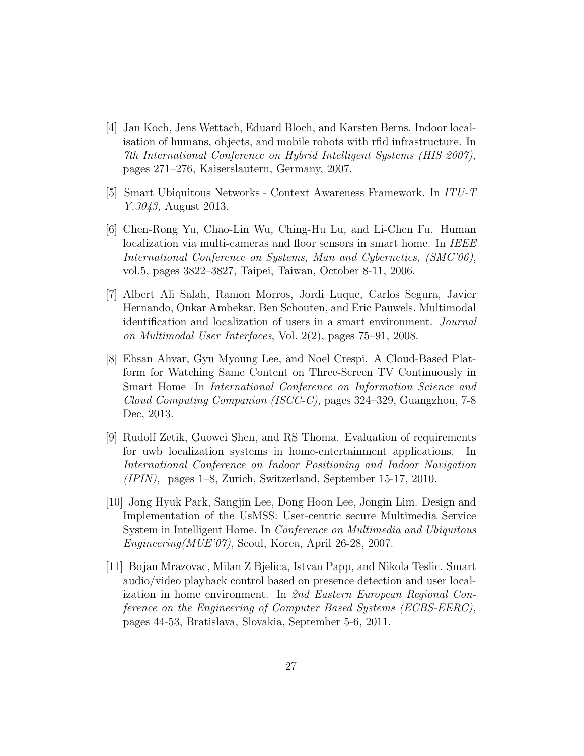- [4] Jan Koch, Jens Wettach, Eduard Bloch, and Karsten Berns. Indoor localisation of humans, objects, and mobile robots with rfid infrastructure. In 7th International Conference on Hybrid Intelligent Systems (HIS 2007), pages 271–276, Kaiserslautern, Germany, 2007.
- [5] Smart Ubiquitous Networks Context Awareness Framework. In ITU-T Y.3043, August 2013.
- [6] Chen-Rong Yu, Chao-Lin Wu, Ching-Hu Lu, and Li-Chen Fu. Human localization via multi-cameras and floor sensors in smart home. In IEEE International Conference on Systems, Man and Cybernetics, (SMC'06), vol.5, pages 3822–3827, Taipei, Taiwan, October 8-11, 2006.
- [7] Albert Ali Salah, Ramon Morros, Jordi Luque, Carlos Segura, Javier Hernando, Onkar Ambekar, Ben Schouten, and Eric Pauwels. Multimodal identification and localization of users in a smart environment. Journal on Multimodal User Interfaces, Vol. 2(2), pages 75–91, 2008.
- [8] Ehsan Ahvar, Gyu Myoung Lee, and Noel Crespi. A Cloud-Based Platform for Watching Same Content on Three-Screen TV Continuously in Smart Home In International Conference on Information Science and Cloud Computing Companion (ISCC-C), pages 324–329, Guangzhou, 7-8 Dec, 2013.
- [9] Rudolf Zetik, Guowei Shen, and RS Thoma. Evaluation of requirements for uwb localization systems in home-entertainment applications. In International Conference on Indoor Positioning and Indoor Navigation (IPIN), pages 1–8, Zurich, Switzerland, September 15-17, 2010.
- [10] Jong Hyuk Park, Sangjin Lee, Dong Hoon Lee, Jongin Lim. Design and Implementation of the UsMSS: User-centric secure Multimedia Service System in Intelligent Home. In Conference on Multimedia and Ubiquitous Engineering(MUE'07), Seoul, Korea, April 26-28, 2007.
- [11] Bojan Mrazovac, Milan Z Bjelica, Istvan Papp, and Nikola Teslic. Smart audio/video playback control based on presence detection and user localization in home environment. In 2nd Eastern European Regional Conference on the Engineering of Computer Based Systems (ECBS-EERC), pages 44-53, Bratislava, Slovakia, September 5-6, 2011.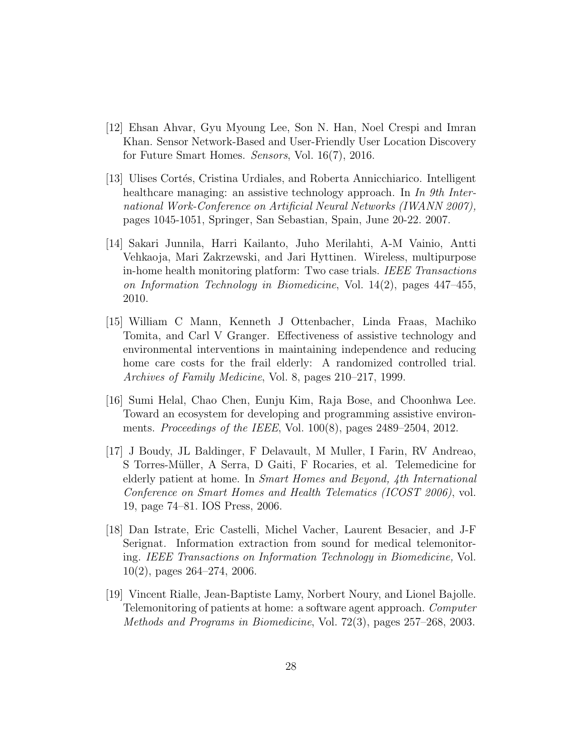- [12] Ehsan Ahvar, Gyu Myoung Lee, Son N. Han, Noel Crespi and Imran Khan. Sensor Network-Based and User-Friendly User Location Discovery for Future Smart Homes. Sensors, Vol. 16(7), 2016.
- [13] Ulises Cortés, Cristina Urdiales, and Roberta Annicchiarico. Intelligent healthcare managing: an assistive technology approach. In In 9th International Work-Conference on Artificial Neural Networks (IWANN 2007), pages 1045-1051, Springer, San Sebastian, Spain, June 20-22. 2007.
- [14] Sakari Junnila, Harri Kailanto, Juho Merilahti, A-M Vainio, Antti Vehkaoja, Mari Zakrzewski, and Jari Hyttinen. Wireless, multipurpose in-home health monitoring platform: Two case trials. IEEE Transactions on Information Technology in Biomedicine, Vol. 14(2), pages 447–455, 2010.
- [15] William C Mann, Kenneth J Ottenbacher, Linda Fraas, Machiko Tomita, and Carl V Granger. Effectiveness of assistive technology and environmental interventions in maintaining independence and reducing home care costs for the frail elderly: A randomized controlled trial. Archives of Family Medicine, Vol. 8, pages 210–217, 1999.
- [16] Sumi Helal, Chao Chen, Eunju Kim, Raja Bose, and Choonhwa Lee. Toward an ecosystem for developing and programming assistive environments. Proceedings of the IEEE, Vol. 100(8), pages 2489–2504, 2012.
- [17] J Boudy, JL Baldinger, F Delavault, M Muller, I Farin, RV Andreao, S Torres-Müller, A Serra, D Gaiti, F Rocaries, et al. Telemedicine for elderly patient at home. In Smart Homes and Beyond, 4th International Conference on Smart Homes and Health Telematics (ICOST 2006), vol. 19, page 74–81. IOS Press, 2006.
- [18] Dan Istrate, Eric Castelli, Michel Vacher, Laurent Besacier, and J-F Serignat. Information extraction from sound for medical telemonitoring. IEEE Transactions on Information Technology in Biomedicine, Vol. 10(2), pages 264–274, 2006.
- [19] Vincent Rialle, Jean-Baptiste Lamy, Norbert Noury, and Lionel Bajolle. Telemonitoring of patients at home: a software agent approach. Computer Methods and Programs in Biomedicine, Vol. 72(3), pages 257–268, 2003.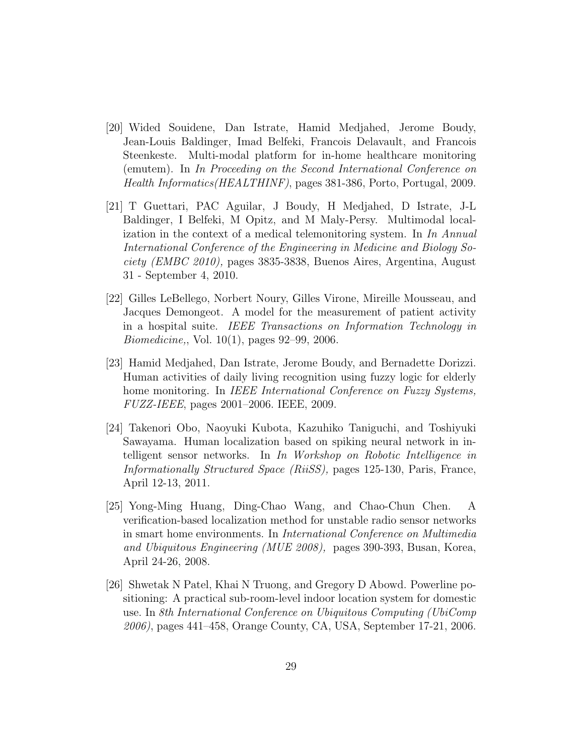- [20] Wided Souidene, Dan Istrate, Hamid Medjahed, Jerome Boudy, Jean-Louis Baldinger, Imad Belfeki, Francois Delavault, and Francois Steenkeste. Multi-modal platform for in-home healthcare monitoring (emutem). In In Proceeding on the Second International Conference on Health Informatics(HEALTHINF), pages 381-386, Porto, Portugal, 2009.
- [21] T Guettari, PAC Aguilar, J Boudy, H Medjahed, D Istrate, J-L Baldinger, I Belfeki, M Opitz, and M Maly-Persy. Multimodal localization in the context of a medical telemonitoring system. In In Annual International Conference of the Engineering in Medicine and Biology Society (EMBC 2010), pages 3835-3838, Buenos Aires, Argentina, August 31 - September 4, 2010.
- [22] Gilles LeBellego, Norbert Noury, Gilles Virone, Mireille Mousseau, and Jacques Demongeot. A model for the measurement of patient activity in a hospital suite. IEEE Transactions on Information Technology in Biomedicine,, Vol. 10(1), pages 92–99, 2006.
- [23] Hamid Medjahed, Dan Istrate, Jerome Boudy, and Bernadette Dorizzi. Human activities of daily living recognition using fuzzy logic for elderly home monitoring. In IEEE International Conference on Fuzzy Systems, FUZZ-IEEE, pages 2001–2006. IEEE, 2009.
- [24] Takenori Obo, Naoyuki Kubota, Kazuhiko Taniguchi, and Toshiyuki Sawayama. Human localization based on spiking neural network in intelligent sensor networks. In In Workshop on Robotic Intelligence in Informationally Structured Space (RiiSS), pages 125-130, Paris, France, April 12-13, 2011.
- [25] Yong-Ming Huang, Ding-Chao Wang, and Chao-Chun Chen. A verification-based localization method for unstable radio sensor networks in smart home environments. In International Conference on Multimedia and Ubiquitous Engineering (MUE 2008), pages 390-393, Busan, Korea, April 24-26, 2008.
- [26] Shwetak N Patel, Khai N Truong, and Gregory D Abowd. Powerline positioning: A practical sub-room-level indoor location system for domestic use. In 8th International Conference on Ubiquitous Computing (UbiComp 2006), pages 441–458, Orange County, CA, USA, September 17-21, 2006.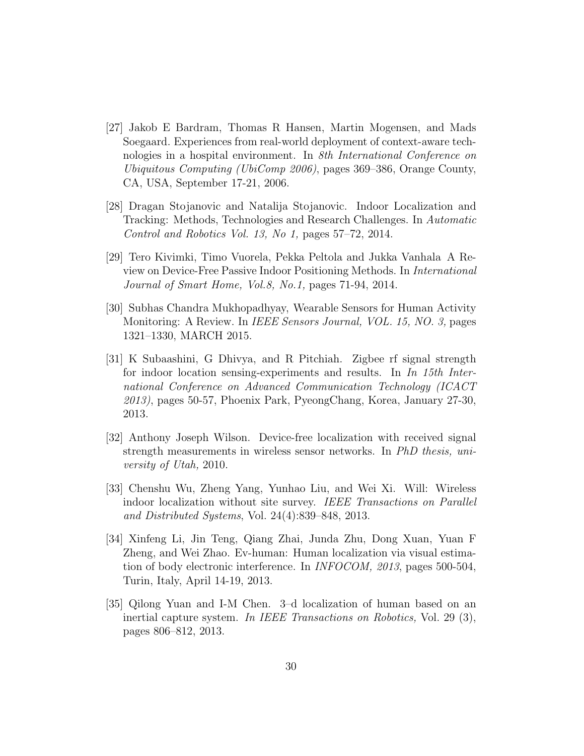- [27] Jakob E Bardram, Thomas R Hansen, Martin Mogensen, and Mads Soegaard. Experiences from real-world deployment of context-aware technologies in a hospital environment. In 8th International Conference on Ubiquitous Computing (UbiComp 2006), pages 369–386, Orange County, CA, USA, September 17-21, 2006.
- [28] Dragan Stojanovic and Natalija Stojanovic. Indoor Localization and Tracking: Methods, Technologies and Research Challenges. In Automatic Control and Robotics Vol. 13, No 1, pages 57–72, 2014.
- [29] Tero Kivimki, Timo Vuorela, Pekka Peltola and Jukka Vanhala A Review on Device-Free Passive Indoor Positioning Methods. In International Journal of Smart Home, Vol.8, No.1, pages 71-94, 2014.
- [30] Subhas Chandra Mukhopadhyay, Wearable Sensors for Human Activity Monitoring: A Review. In IEEE Sensors Journal, VOL. 15, NO. 3, pages 1321–1330, MARCH 2015.
- [31] K Subaashini, G Dhivya, and R Pitchiah. Zigbee rf signal strength for indoor location sensing-experiments and results. In In 15th International Conference on Advanced Communication Technology (ICACT 2013), pages 50-57, Phoenix Park, PyeongChang, Korea, January 27-30, 2013.
- [32] Anthony Joseph Wilson. Device-free localization with received signal strength measurements in wireless sensor networks. In PhD thesis, university of Utah, 2010.
- [33] Chenshu Wu, Zheng Yang, Yunhao Liu, and Wei Xi. Will: Wireless indoor localization without site survey. IEEE Transactions on Parallel and Distributed Systems, Vol. 24(4):839–848, 2013.
- [34] Xinfeng Li, Jin Teng, Qiang Zhai, Junda Zhu, Dong Xuan, Yuan F Zheng, and Wei Zhao. Ev-human: Human localization via visual estimation of body electronic interference. In INFOCOM, 2013, pages 500-504, Turin, Italy, April 14-19, 2013.
- [35] Qilong Yuan and I-M Chen. 3–d localization of human based on an inertial capture system. In IEEE Transactions on Robotics, Vol. 29 (3), pages 806–812, 2013.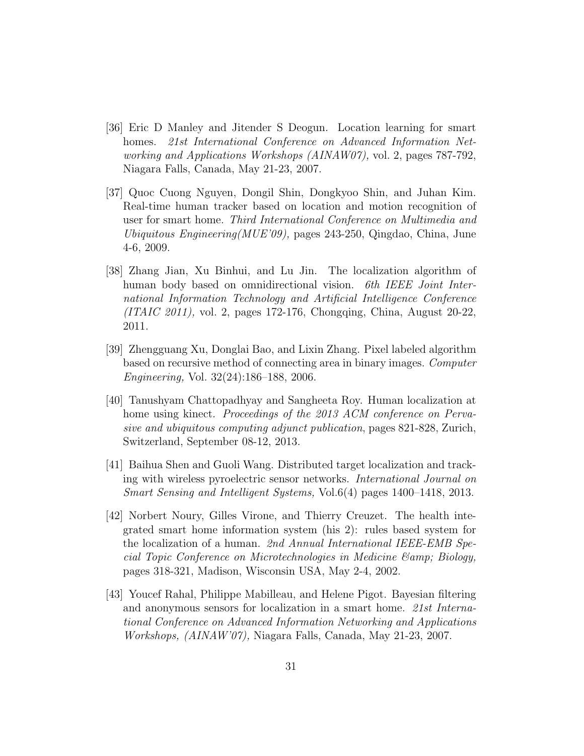- [36] Eric D Manley and Jitender S Deogun. Location learning for smart homes. 21st International Conference on Advanced Information Networking and Applications Workshops (AINAW07), vol. 2, pages 787-792, Niagara Falls, Canada, May 21-23, 2007.
- [37] Quoc Cuong Nguyen, Dongil Shin, Dongkyoo Shin, and Juhan Kim. Real-time human tracker based on location and motion recognition of user for smart home. Third International Conference on Multimedia and Ubiquitous Engineering(MUE'09), pages 243-250, Qingdao, China, June 4-6, 2009.
- [38] Zhang Jian, Xu Binhui, and Lu Jin. The localization algorithm of human body based on omnidirectional vision. 6th IEEE Joint International Information Technology and Artificial Intelligence Conference (ITAIC 2011), vol. 2, pages 172-176, Chongqing, China, August 20-22, 2011.
- [39] Zhengguang Xu, Donglai Bao, and Lixin Zhang. Pixel labeled algorithm based on recursive method of connecting area in binary images. Computer Engineering, Vol. 32(24):186–188, 2006.
- [40] Tanushyam Chattopadhyay and Sangheeta Roy. Human localization at home using kinect. *Proceedings of the 2013 ACM conference on Perva*sive and ubiquitous computing adjunct publication, pages 821-828, Zurich, Switzerland, September 08-12, 2013.
- [41] Baihua Shen and Guoli Wang. Distributed target localization and tracking with wireless pyroelectric sensor networks. International Journal on Smart Sensing and Intelligent Systems, Vol.6(4) pages 1400–1418, 2013.
- [42] Norbert Noury, Gilles Virone, and Thierry Creuzet. The health integrated smart home information system (his 2): rules based system for the localization of a human. 2nd Annual International IEEE-EMB Special Topic Conference on Microtechnologies in Medicine  $\mathcal{E}$ amp; Biology, pages 318-321, Madison, Wisconsin USA, May 2-4, 2002.
- [43] Youcef Rahal, Philippe Mabilleau, and Helene Pigot. Bayesian filtering and anonymous sensors for localization in a smart home. 21st International Conference on Advanced Information Networking and Applications Workshops, (AINAW'07), Niagara Falls, Canada, May 21-23, 2007.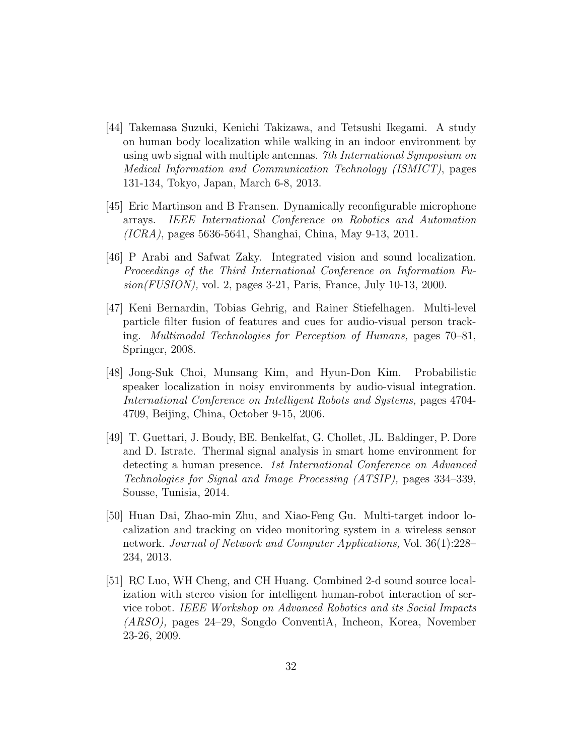- [44] Takemasa Suzuki, Kenichi Takizawa, and Tetsushi Ikegami. A study on human body localization while walking in an indoor environment by using uwb signal with multiple antennas. 7th International Symposium on Medical Information and Communication Technology (ISMICT), pages 131-134, Tokyo, Japan, March 6-8, 2013.
- [45] Eric Martinson and B Fransen. Dynamically reconfigurable microphone arrays. IEEE International Conference on Robotics and Automation (ICRA), pages 5636-5641, Shanghai, China, May 9-13, 2011.
- [46] P Arabi and Safwat Zaky. Integrated vision and sound localization. Proceedings of the Third International Conference on Information Fusion(FUSION), vol. 2, pages 3-21, Paris, France, July 10-13, 2000.
- [47] Keni Bernardin, Tobias Gehrig, and Rainer Stiefelhagen. Multi-level particle filter fusion of features and cues for audio-visual person tracking. Multimodal Technologies for Perception of Humans, pages 70–81, Springer, 2008.
- [48] Jong-Suk Choi, Munsang Kim, and Hyun-Don Kim. Probabilistic speaker localization in noisy environments by audio-visual integration. International Conference on Intelligent Robots and Systems, pages 4704- 4709, Beijing, China, October 9-15, 2006.
- [49] T. Guettari, J. Boudy, BE. Benkelfat, G. Chollet, JL. Baldinger, P. Dore and D. Istrate. Thermal signal analysis in smart home environment for detecting a human presence. 1st International Conference on Advanced Technologies for Signal and Image Processing (ATSIP), pages 334–339, Sousse, Tunisia, 2014.
- [50] Huan Dai, Zhao-min Zhu, and Xiao-Feng Gu. Multi-target indoor localization and tracking on video monitoring system in a wireless sensor network. Journal of Network and Computer Applications, Vol. 36(1):228– 234, 2013.
- [51] RC Luo, WH Cheng, and CH Huang. Combined 2-d sound source localization with stereo vision for intelligent human-robot interaction of service robot. IEEE Workshop on Advanced Robotics and its Social Impacts (ARSO), pages 24–29, Songdo ConventiA, Incheon, Korea, November 23-26, 2009.